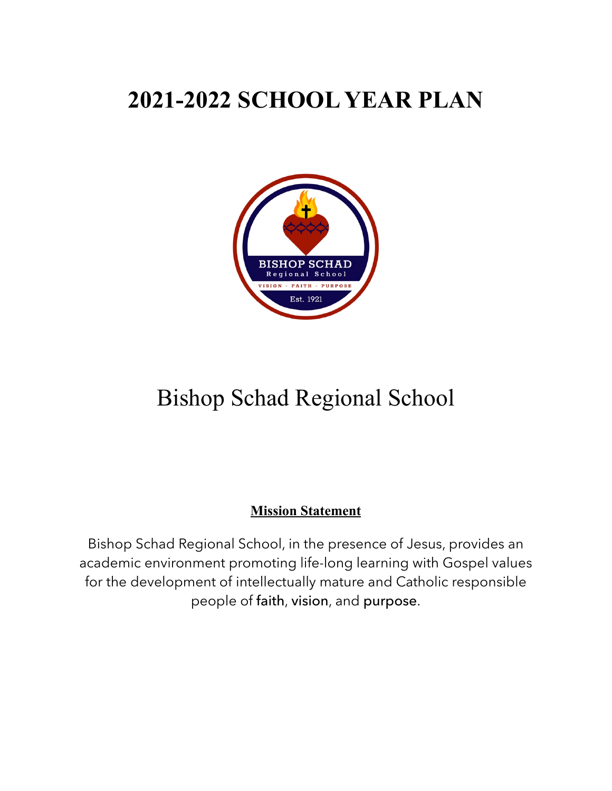# **2021-2022 SCHOOL YEAR PLAN**



# Bishop Schad Regional School

# **Mission Statement**

Bishop Schad Regional School, in the presence of Jesus, provides an academic environment promoting life-long learning with Gospel values for the development of intellectually mature and Catholic responsible people of faith, vision, and purpose.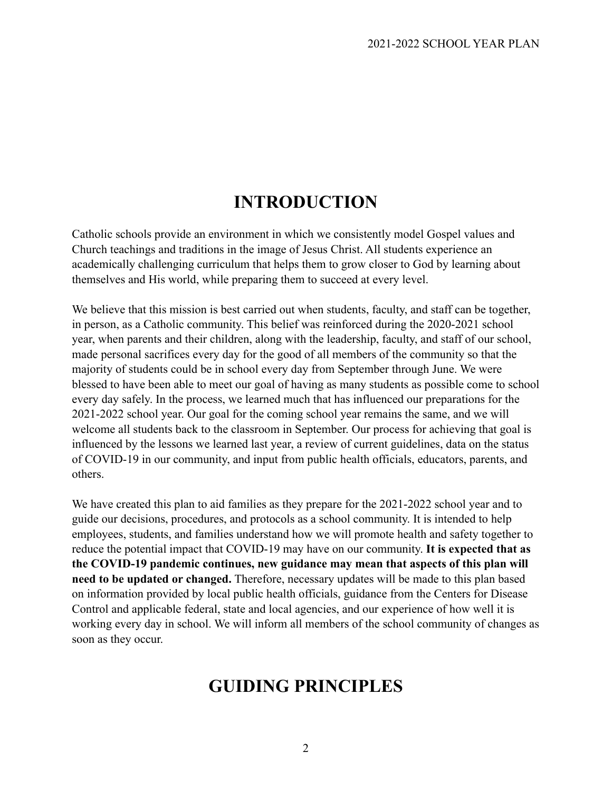# **INTRODUCTION**

Catholic schools provide an environment in which we consistently model Gospel values and Church teachings and traditions in the image of Jesus Christ. All students experience an academically challenging curriculum that helps them to grow closer to God by learning about themselves and His world, while preparing them to succeed at every level.

We believe that this mission is best carried out when students, faculty, and staff can be together, in person, as a Catholic community. This belief was reinforced during the 2020-2021 school year, when parents and their children, along with the leadership, faculty, and staff of our school, made personal sacrifices every day for the good of all members of the community so that the majority of students could be in school every day from September through June. We were blessed to have been able to meet our goal of having as many students as possible come to school every day safely. In the process, we learned much that has influenced our preparations for the 2021-2022 school year. Our goal for the coming school year remains the same, and we will welcome all students back to the classroom in September. Our process for achieving that goal is influenced by the lessons we learned last year, a review of current guidelines, data on the status of COVID-19 in our community, and input from public health officials, educators, parents, and others.

We have created this plan to aid families as they prepare for the 2021-2022 school year and to guide our decisions, procedures, and protocols as a school community. It is intended to help employees, students, and families understand how we will promote health and safety together to reduce the potential impact that COVID-19 may have on our community. **It is expected that as the COVID-19 pandemic continues, new guidance may mean that aspects of this plan will need to be updated or changed.** Therefore, necessary updates will be made to this plan based on information provided by local public health officials, guidance from the Centers for Disease Control and applicable federal, state and local agencies, and our experience of how well it is working every day in school. We will inform all members of the school community of changes as soon as they occur.

# **GUIDING PRINCIPLES**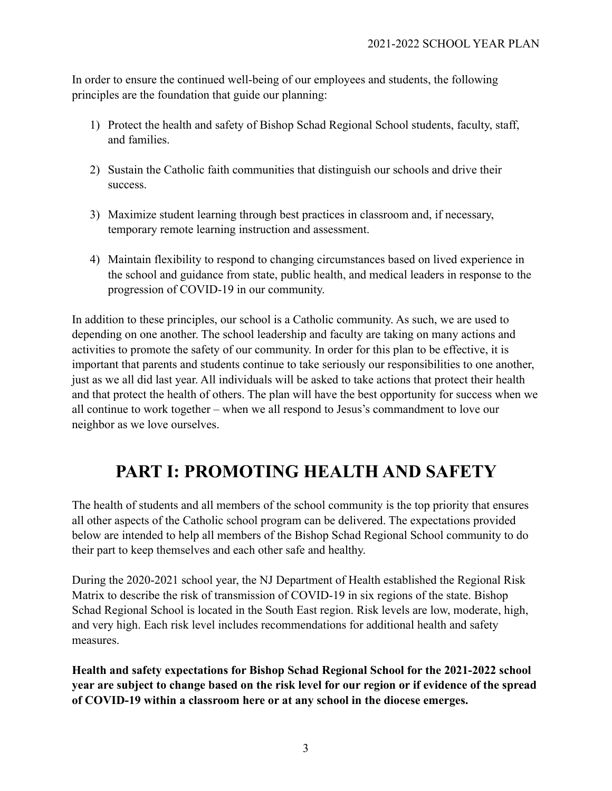In order to ensure the continued well-being of our employees and students, the following principles are the foundation that guide our planning:

- 1) Protect the health and safety of Bishop Schad Regional School students, faculty, staff, and families.
- 2) Sustain the Catholic faith communities that distinguish our schools and drive their success.
- 3) Maximize student learning through best practices in classroom and, if necessary, temporary remote learning instruction and assessment.
- 4) Maintain flexibility to respond to changing circumstances based on lived experience in the school and guidance from state, public health, and medical leaders in response to the progression of COVID-19 in our community.

In addition to these principles, our school is a Catholic community. As such, we are used to depending on one another. The school leadership and faculty are taking on many actions and activities to promote the safety of our community. In order for this plan to be effective, it is important that parents and students continue to take seriously our responsibilities to one another, just as we all did last year. All individuals will be asked to take actions that protect their health and that protect the health of others. The plan will have the best opportunity for success when we all continue to work together – when we all respond to Jesus's commandment to love our neighbor as we love ourselves.

# **PART I: PROMOTING HEALTH AND SAFETY**

The health of students and all members of the school community is the top priority that ensures all other aspects of the Catholic school program can be delivered. The expectations provided below are intended to help all members of the Bishop Schad Regional School community to do their part to keep themselves and each other safe and healthy.

During the 2020-2021 school year, the NJ Department of Health established the Regional Risk Matrix to describe the risk of transmission of COVID-19 in six regions of the state. Bishop Schad Regional School is located in the South East region. Risk levels are low, moderate, high, and very high. Each risk level includes recommendations for additional health and safety measures.

**Health and safety expectations for Bishop Schad Regional School for the 2021-2022 school year are subject to change based on the risk level for our region or if evidence of the spread of COVID-19 within a classroom here or at any school in the diocese emerges.**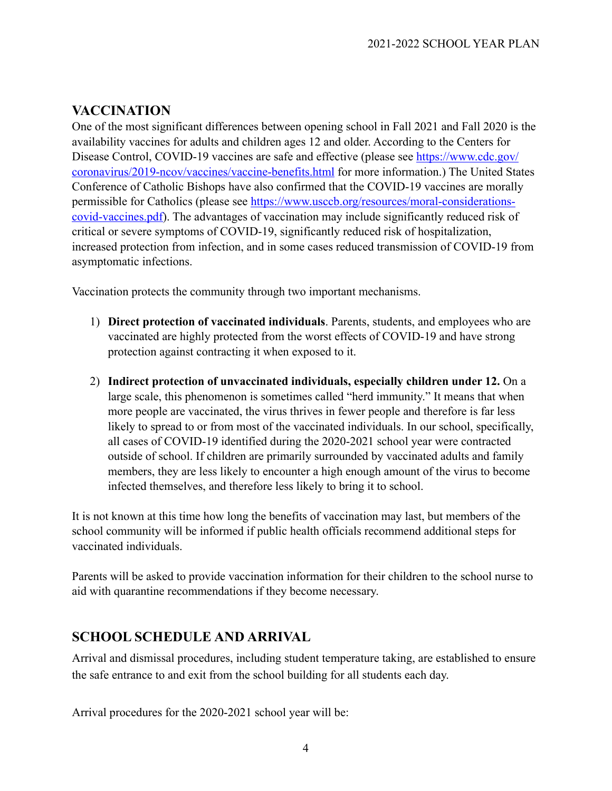# **VACCINATION**

One of the most significant differences between opening school in Fall 2021 and Fall 2020 is the availability vaccines for adults and children ages 12 and older. According to the Centers for Disease Control, COVID-19 vaccines are safe and effective (please see [https://www.cdc.gov/](https://www.cdc.gov/coronavirus/2019-ncov/vaccines/vaccine-benefits.html) [coronavirus/2019-ncov/vaccines/vaccine-benefits.html](https://www.cdc.gov/coronavirus/2019-ncov/vaccines/vaccine-benefits.html) for more information.) The United States Conference of Catholic Bishops have also confirmed that the COVID-19 vaccines are morally permissible for Catholics (please see [https://www.usccb.org/resources/moral-considerations](https://www.usccb.org/resources/moral-considerations-covid-vaccines.pdf)[covid-vaccines.pdf\)](https://www.usccb.org/resources/moral-considerations-covid-vaccines.pdf). The advantages of vaccination may include significantly reduced risk of critical or severe symptoms of COVID-19, significantly reduced risk of hospitalization, increased protection from infection, and in some cases reduced transmission of COVID-19 from asymptomatic infections.

Vaccination protects the community through two important mechanisms.

- 1) **Direct protection of vaccinated individuals**. Parents, students, and employees who are vaccinated are highly protected from the worst effects of COVID-19 and have strong protection against contracting it when exposed to it.
- 2) **Indirect protection of unvaccinated individuals, especially children under 12.** On a large scale, this phenomenon is sometimes called "herd immunity." It means that when more people are vaccinated, the virus thrives in fewer people and therefore is far less likely to spread to or from most of the vaccinated individuals. In our school, specifically, all cases of COVID-19 identified during the 2020-2021 school year were contracted outside of school. If children are primarily surrounded by vaccinated adults and family members, they are less likely to encounter a high enough amount of the virus to become infected themselves, and therefore less likely to bring it to school.

It is not known at this time how long the benefits of vaccination may last, but members of the school community will be informed if public health officials recommend additional steps for vaccinated individuals.

Parents will be asked to provide vaccination information for their children to the school nurse to aid with quarantine recommendations if they become necessary.

# **SCHOOL SCHEDULE AND ARRIVAL**

Arrival and dismissal procedures, including student temperature taking, are established to ensure the safe entrance to and exit from the school building for all students each day.

Arrival procedures for the 2020-2021 school year will be: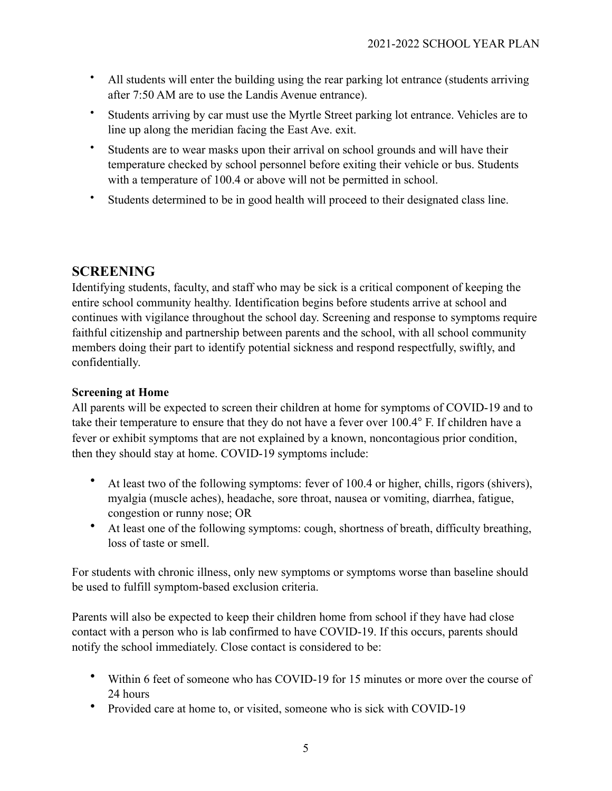- All students will enter the building using the rear parking lot entrance (students arriving after 7:50 AM are to use the Landis Avenue entrance).
- Students arriving by car must use the Myrtle Street parking lot entrance. Vehicles are to line up along the meridian facing the East Ave. exit.
- Students are to wear masks upon their arrival on school grounds and will have their temperature checked by school personnel before exiting their vehicle or bus. Students with a temperature of 100.4 or above will not be permitted in school.
- Students determined to be in good health will proceed to their designated class line.

## **SCREENING**

Identifying students, faculty, and staff who may be sick is a critical component of keeping the entire school community healthy. Identification begins before students arrive at school and continues with vigilance throughout the school day. Screening and response to symptoms require faithful citizenship and partnership between parents and the school, with all school community members doing their part to identify potential sickness and respond respectfully, swiftly, and confidentially.

### **Screening at Home**

All parents will be expected to screen their children at home for symptoms of COVID-19 and to take their temperature to ensure that they do not have a fever over 100.4° F. If children have a fever or exhibit symptoms that are not explained by a known, noncontagious prior condition, then they should stay at home. COVID-19 symptoms include:

- At least two of the following symptoms: fever of 100.4 or higher, chills, rigors (shivers), myalgia (muscle aches), headache, sore throat, nausea or vomiting, diarrhea, fatigue, congestion or runny nose; OR
- At least one of the following symptoms: cough, shortness of breath, difficulty breathing, loss of taste or smell.

For students with chronic illness, only new symptoms or symptoms worse than baseline should be used to fulfill symptom-based exclusion criteria.

Parents will also be expected to keep their children home from school if they have had close contact with a person who is lab confirmed to have COVID-19. If this occurs, parents should notify the school immediately. Close contact is considered to be:

- Within 6 feet of someone who has COVID-19 for 15 minutes or more over the course of 24 hours
- Provided care at home to, or visited, someone who is sick with COVID-19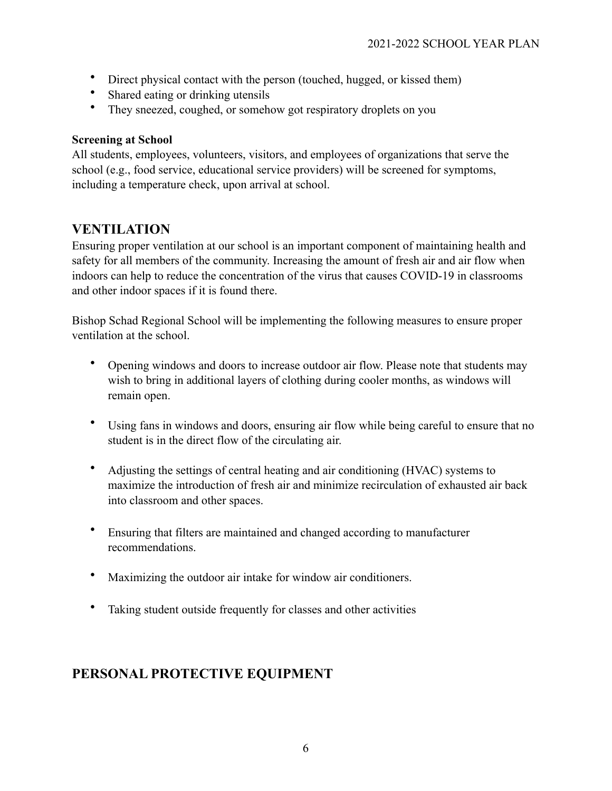- Direct physical contact with the person (touched, hugged, or kissed them)
- Shared eating or drinking utensils
- They sneezed, coughed, or somehow got respiratory droplets on you

### **Screening at School**

All students, employees, volunteers, visitors, and employees of organizations that serve the school (e.g., food service, educational service providers) will be screened for symptoms, including a temperature check, upon arrival at school.

# **VENTILATION**

Ensuring proper ventilation at our school is an important component of maintaining health and safety for all members of the community. Increasing the amount of fresh air and air flow when indoors can help to reduce the concentration of the virus that causes COVID-19 in classrooms and other indoor spaces if it is found there.

Bishop Schad Regional School will be implementing the following measures to ensure proper ventilation at the school.

- Opening windows and doors to increase outdoor air flow. Please note that students may wish to bring in additional layers of clothing during cooler months, as windows will remain open.
- Using fans in windows and doors, ensuring air flow while being careful to ensure that no student is in the direct flow of the circulating air.
- Adjusting the settings of central heating and air conditioning (HVAC) systems to maximize the introduction of fresh air and minimize recirculation of exhausted air back into classroom and other spaces.
- Ensuring that filters are maintained and changed according to manufacturer recommendations.
- Maximizing the outdoor air intake for window air conditioners.
- Taking student outside frequently for classes and other activities

# **PERSONAL PROTECTIVE EQUIPMENT**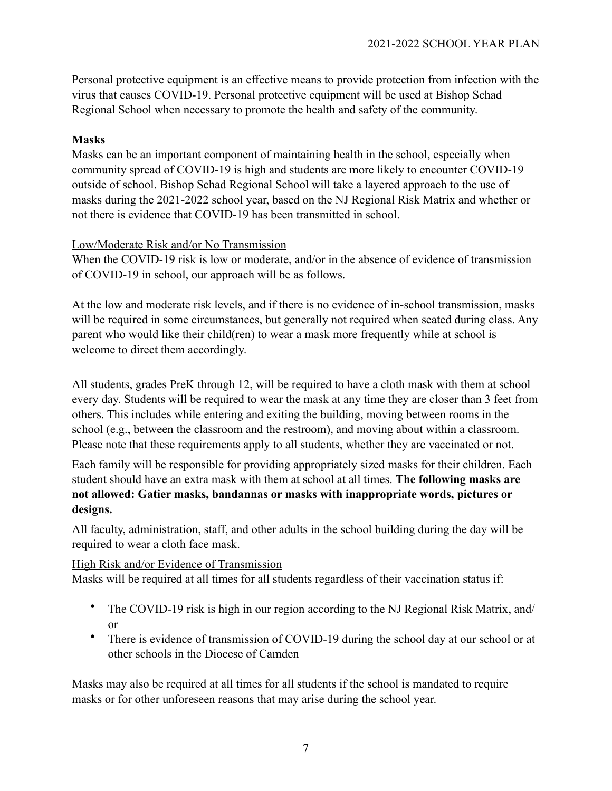Personal protective equipment is an effective means to provide protection from infection with the virus that causes COVID-19. Personal protective equipment will be used at Bishop Schad Regional School when necessary to promote the health and safety of the community.

### **Masks**

Masks can be an important component of maintaining health in the school, especially when community spread of COVID-19 is high and students are more likely to encounter COVID-19 outside of school. Bishop Schad Regional School will take a layered approach to the use of masks during the 2021-2022 school year, based on the NJ Regional Risk Matrix and whether or not there is evidence that COVID-19 has been transmitted in school.

### Low/Moderate Risk and/or No Transmission

When the COVID-19 risk is low or moderate, and/or in the absence of evidence of transmission of COVID-19 in school, our approach will be as follows.

At the low and moderate risk levels, and if there is no evidence of in-school transmission, masks will be required in some circumstances, but generally not required when seated during class. Any parent who would like their child(ren) to wear a mask more frequently while at school is welcome to direct them accordingly.

All students, grades PreK through 12, will be required to have a cloth mask with them at school every day. Students will be required to wear the mask at any time they are closer than 3 feet from others. This includes while entering and exiting the building, moving between rooms in the school (e.g., between the classroom and the restroom), and moving about within a classroom. Please note that these requirements apply to all students, whether they are vaccinated or not.

Each family will be responsible for providing appropriately sized masks for their children. Each student should have an extra mask with them at school at all times. **The following masks are not allowed: Gatier masks, bandannas or masks with inappropriate words, pictures or designs.** 

All faculty, administration, staff, and other adults in the school building during the day will be required to wear a cloth face mask.

### High Risk and/or Evidence of Transmission

Masks will be required at all times for all students regardless of their vaccination status if:

- The COVID-19 risk is high in our region according to the NJ Regional Risk Matrix, and/ or
- There is evidence of transmission of COVID-19 during the school day at our school or at other schools in the Diocese of Camden

Masks may also be required at all times for all students if the school is mandated to require masks or for other unforeseen reasons that may arise during the school year.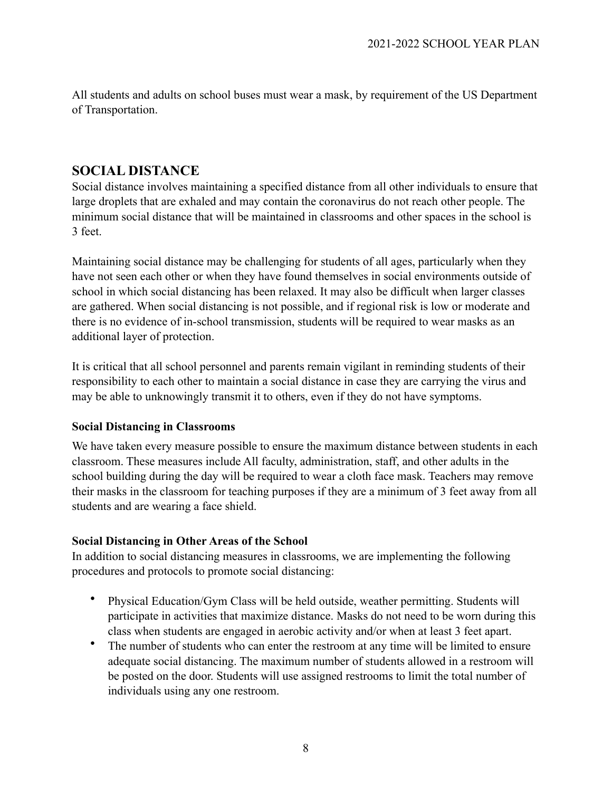All students and adults on school buses must wear a mask, by requirement of the US Department of Transportation.

### **SOCIAL DISTANCE**

Social distance involves maintaining a specified distance from all other individuals to ensure that large droplets that are exhaled and may contain the coronavirus do not reach other people. The minimum social distance that will be maintained in classrooms and other spaces in the school is 3 feet.

Maintaining social distance may be challenging for students of all ages, particularly when they have not seen each other or when they have found themselves in social environments outside of school in which social distancing has been relaxed. It may also be difficult when larger classes are gathered. When social distancing is not possible, and if regional risk is low or moderate and there is no evidence of in-school transmission, students will be required to wear masks as an additional layer of protection.

It is critical that all school personnel and parents remain vigilant in reminding students of their responsibility to each other to maintain a social distance in case they are carrying the virus and may be able to unknowingly transmit it to others, even if they do not have symptoms.

### **Social Distancing in Classrooms**

We have taken every measure possible to ensure the maximum distance between students in each classroom. These measures include All faculty, administration, staff, and other adults in the school building during the day will be required to wear a cloth face mask. Teachers may remove their masks in the classroom for teaching purposes if they are a minimum of 3 feet away from all students and are wearing a face shield.

### **Social Distancing in Other Areas of the School**

In addition to social distancing measures in classrooms, we are implementing the following procedures and protocols to promote social distancing:

- Physical Education/Gym Class will be held outside, weather permitting. Students will participate in activities that maximize distance. Masks do not need to be worn during this class when students are engaged in aerobic activity and/or when at least 3 feet apart.
- The number of students who can enter the restroom at any time will be limited to ensure adequate social distancing. The maximum number of students allowed in a restroom will be posted on the door. Students will use assigned restrooms to limit the total number of individuals using any one restroom.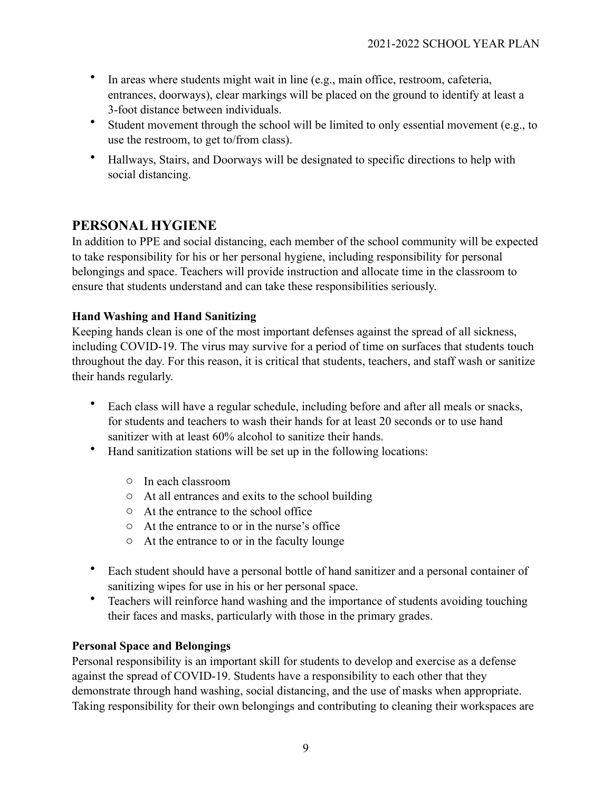- In areas where students might wait in line (e.g., main office, restroom, cafeteria, entrances, doorways), clear markings will be placed on the ground to identify at least a 3-foot distance between individuals.
- Student movement through the school will be limited to only essential movement (e.g., to use the restroom, to get to/from class).
- Hallways, Stairs, and Doorways will be designated to specific directions to help with social distancing.

# **PERSONAL HYGIENE**

In addition to PPE and social distancing, each member of the school community will be expected to take responsibility for his or her personal hygiene, including responsibility for personal belongings and space. Teachers will provide instruction and allocate time in the classroom to ensure that students understand and can take these responsibilities seriously.

### **Hand Washing and Hand Sanitizing**

Keeping hands clean is one of the most important defenses against the spread of all sickness, including COVID-19. The virus may survive for a period of time on surfaces that students touch throughout the day. For this reason, it is critical that students, teachers, and staff wash or sanitize their hands regularly.

- Each class will have a regular schedule, including before and after all meals or snacks, for students and teachers to wash their hands for at least 20 seconds or to use hand sanitizer with at least 60% alcohol to sanitize their hands.
- Hand sanitization stations will be set up in the following locations:
	- o In each classroom
	- o At all entrances and exits to the school building
	- o At the entrance to the school office
	- o At the entrance to or in the nurse's office
	- o At the entrance to or in the faculty lounge
- Each student should have a personal bottle of hand sanitizer and a personal container of sanitizing wipes for use in his or her personal space.
- Teachers will reinforce hand washing and the importance of students avoiding touching their faces and masks, particularly with those in the primary grades.

### **Personal Space and Belongings**

Personal responsibility is an important skill for students to develop and exercise as a defense against the spread of COVID-19. Students have a responsibility to each other that they demonstrate through hand washing, social distancing, and the use of masks when appropriate. Taking responsibility for their own belongings and contributing to cleaning their workspaces are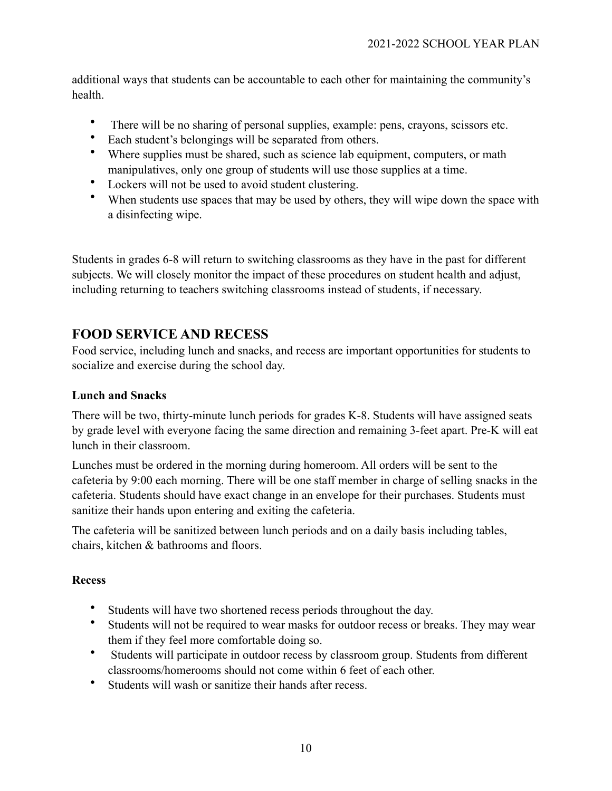additional ways that students can be accountable to each other for maintaining the community's health.

- There will be no sharing of personal supplies, example: pens, crayons, scissors etc.
- Each student's belongings will be separated from others.
- Where supplies must be shared, such as science lab equipment, computers, or math manipulatives, only one group of students will use those supplies at a time.
- Lockers will not be used to avoid student clustering.
- When students use spaces that may be used by others, they will wipe down the space with a disinfecting wipe.

Students in grades 6-8 will return to switching classrooms as they have in the past for different subjects. We will closely monitor the impact of these procedures on student health and adjust, including returning to teachers switching classrooms instead of students, if necessary.

## **FOOD SERVICE AND RECESS**

Food service, including lunch and snacks, and recess are important opportunities for students to socialize and exercise during the school day.

### **Lunch and Snacks**

There will be two, thirty-minute lunch periods for grades K-8. Students will have assigned seats by grade level with everyone facing the same direction and remaining 3-feet apart. Pre-K will eat lunch in their classroom.

Lunches must be ordered in the morning during homeroom. All orders will be sent to the cafeteria by 9:00 each morning. There will be one staff member in charge of selling snacks in the cafeteria. Students should have exact change in an envelope for their purchases. Students must sanitize their hands upon entering and exiting the cafeteria.

The cafeteria will be sanitized between lunch periods and on a daily basis including tables, chairs, kitchen & bathrooms and floors.

### **Recess**

- Students will have two shortened recess periods throughout the day.
- Students will not be required to wear masks for outdoor recess or breaks. They may wear them if they feel more comfortable doing so.
- Students will participate in outdoor recess by classroom group. Students from different classrooms/homerooms should not come within 6 feet of each other.
- Students will wash or sanitize their hands after recess.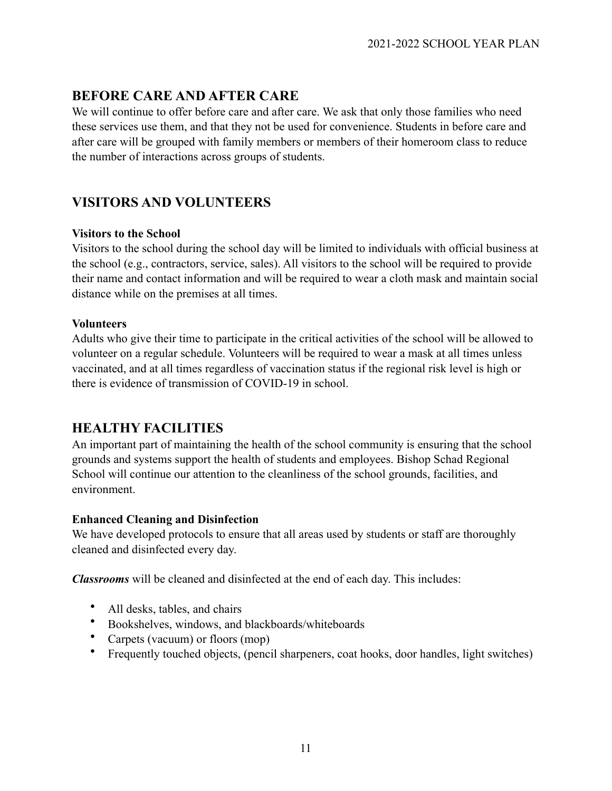# **BEFORE CARE AND AFTER CARE**

We will continue to offer before care and after care. We ask that only those families who need these services use them, and that they not be used for convenience. Students in before care and after care will be grouped with family members or members of their homeroom class to reduce the number of interactions across groups of students.

# **VISITORS AND VOLUNTEERS**

### **Visitors to the School**

Visitors to the school during the school day will be limited to individuals with official business at the school (e.g., contractors, service, sales). All visitors to the school will be required to provide their name and contact information and will be required to wear a cloth mask and maintain social distance while on the premises at all times.

### **Volunteers**

Adults who give their time to participate in the critical activities of the school will be allowed to volunteer on a regular schedule. Volunteers will be required to wear a mask at all times unless vaccinated, and at all times regardless of vaccination status if the regional risk level is high or there is evidence of transmission of COVID-19 in school.

# **HEALTHY FACILITIES**

An important part of maintaining the health of the school community is ensuring that the school grounds and systems support the health of students and employees. Bishop Schad Regional School will continue our attention to the cleanliness of the school grounds, facilities, and environment.

### **Enhanced Cleaning and Disinfection**

We have developed protocols to ensure that all areas used by students or staff are thoroughly cleaned and disinfected every day.

*Classrooms* will be cleaned and disinfected at the end of each day. This includes:

- All desks, tables, and chairs
- Bookshelves, windows, and blackboards/whiteboards
- Carpets (vacuum) or floors (mop)
- Frequently touched objects, (pencil sharpeners, coat hooks, door handles, light switches)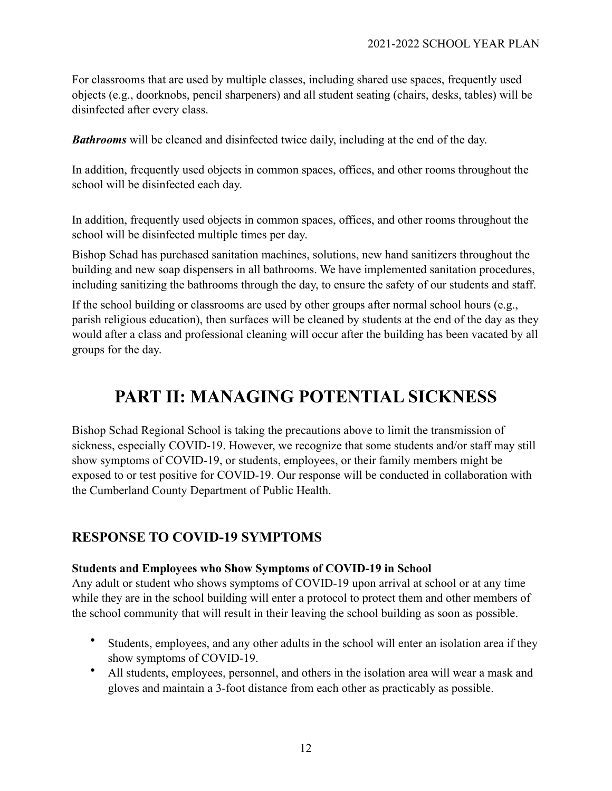For classrooms that are used by multiple classes, including shared use spaces, frequently used objects (e.g., doorknobs, pencil sharpeners) and all student seating (chairs, desks, tables) will be disinfected after every class.

*Bathrooms* will be cleaned and disinfected twice daily, including at the end of the day.

In addition, frequently used objects in common spaces, offices, and other rooms throughout the school will be disinfected each day.

In addition, frequently used objects in common spaces, offices, and other rooms throughout the school will be disinfected multiple times per day.

Bishop Schad has purchased sanitation machines, solutions, new hand sanitizers throughout the building and new soap dispensers in all bathrooms. We have implemented sanitation procedures, including sanitizing the bathrooms through the day, to ensure the safety of our students and staff.

If the school building or classrooms are used by other groups after normal school hours (e.g., parish religious education), then surfaces will be cleaned by students at the end of the day as they would after a class and professional cleaning will occur after the building has been vacated by all groups for the day.

# **PART II: MANAGING POTENTIAL SICKNESS**

Bishop Schad Regional School is taking the precautions above to limit the transmission of sickness, especially COVID-19. However, we recognize that some students and/or staff may still show symptoms of COVID-19, or students, employees, or their family members might be exposed to or test positive for COVID-19. Our response will be conducted in collaboration with the Cumberland County Department of Public Health.

### **RESPONSE TO COVID-19 SYMPTOMS**

#### **Students and Employees who Show Symptoms of COVID-19 in School**

Any adult or student who shows symptoms of COVID-19 upon arrival at school or at any time while they are in the school building will enter a protocol to protect them and other members of the school community that will result in their leaving the school building as soon as possible.

- Students, employees, and any other adults in the school will enter an isolation area if they show symptoms of COVID-19.
- All students, employees, personnel, and others in the isolation area will wear a mask and gloves and maintain a 3-foot distance from each other as practicably as possible.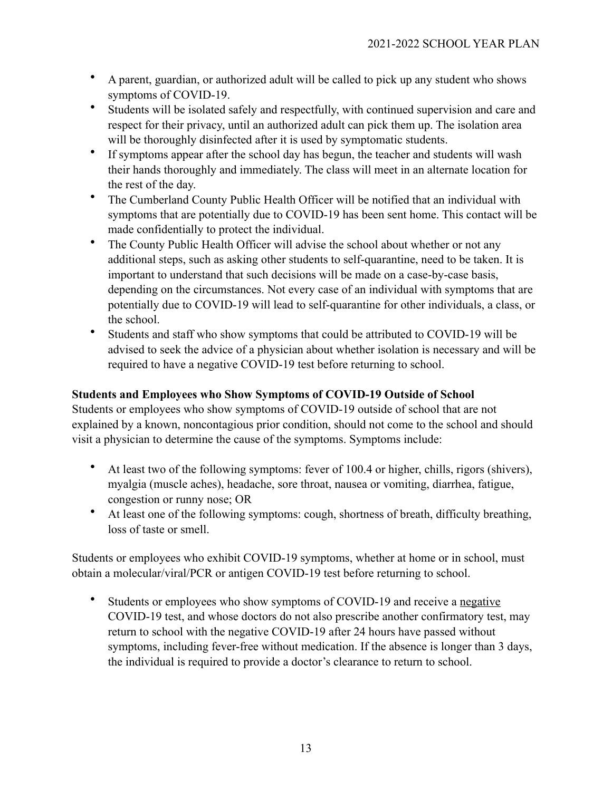- A parent, guardian, or authorized adult will be called to pick up any student who shows symptoms of COVID-19.
- Students will be isolated safely and respectfully, with continued supervision and care and respect for their privacy, until an authorized adult can pick them up. The isolation area will be thoroughly disinfected after it is used by symptomatic students.
- If symptoms appear after the school day has begun, the teacher and students will wash their hands thoroughly and immediately. The class will meet in an alternate location for the rest of the day.
- The Cumberland County Public Health Officer will be notified that an individual with symptoms that are potentially due to COVID-19 has been sent home. This contact will be made confidentially to protect the individual.
- The County Public Health Officer will advise the school about whether or not any additional steps, such as asking other students to self-quarantine, need to be taken. It is important to understand that such decisions will be made on a case-by-case basis, depending on the circumstances. Not every case of an individual with symptoms that are potentially due to COVID-19 will lead to self-quarantine for other individuals, a class, or the school.
- Students and staff who show symptoms that could be attributed to COVID-19 will be advised to seek the advice of a physician about whether isolation is necessary and will be required to have a negative COVID-19 test before returning to school.

### **Students and Employees who Show Symptoms of COVID-19 Outside of School**

Students or employees who show symptoms of COVID-19 outside of school that are not explained by a known, noncontagious prior condition, should not come to the school and should visit a physician to determine the cause of the symptoms. Symptoms include:

- At least two of the following symptoms: fever of 100.4 or higher, chills, rigors (shivers), myalgia (muscle aches), headache, sore throat, nausea or vomiting, diarrhea, fatigue, congestion or runny nose; OR
- At least one of the following symptoms: cough, shortness of breath, difficulty breathing, loss of taste or smell.

Students or employees who exhibit COVID-19 symptoms, whether at home or in school, must obtain a molecular/viral/PCR or antigen COVID-19 test before returning to school.

Students or employees who show symptoms of COVID-19 and receive a negative COVID-19 test, and whose doctors do not also prescribe another confirmatory test, may return to school with the negative COVID-19 after 24 hours have passed without symptoms, including fever-free without medication. If the absence is longer than 3 days, the individual is required to provide a doctor's clearance to return to school.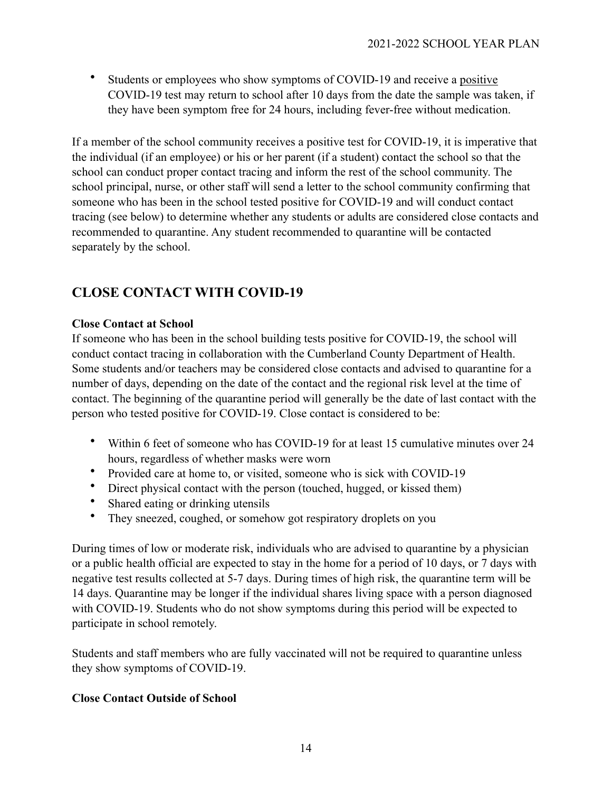• Students or employees who show symptoms of COVID-19 and receive a positive COVID-19 test may return to school after 10 days from the date the sample was taken, if they have been symptom free for 24 hours, including fever-free without medication.

If a member of the school community receives a positive test for COVID-19, it is imperative that the individual (if an employee) or his or her parent (if a student) contact the school so that the school can conduct proper contact tracing and inform the rest of the school community. The school principal, nurse, or other staff will send a letter to the school community confirming that someone who has been in the school tested positive for COVID-19 and will conduct contact tracing (see below) to determine whether any students or adults are considered close contacts and recommended to quarantine. Any student recommended to quarantine will be contacted separately by the school.

# **CLOSE CONTACT WITH COVID-19**

### **Close Contact at School**

If someone who has been in the school building tests positive for COVID-19, the school will conduct contact tracing in collaboration with the Cumberland County Department of Health. Some students and/or teachers may be considered close contacts and advised to quarantine for a number of days, depending on the date of the contact and the regional risk level at the time of contact. The beginning of the quarantine period will generally be the date of last contact with the person who tested positive for COVID-19. Close contact is considered to be:

- Within 6 feet of someone who has COVID-19 for at least 15 cumulative minutes over 24 hours, regardless of whether masks were worn
- Provided care at home to, or visited, someone who is sick with COVID-19
- Direct physical contact with the person (touched, hugged, or kissed them)
- Shared eating or drinking utensils
- They sneezed, coughed, or somehow got respiratory droplets on you

During times of low or moderate risk, individuals who are advised to quarantine by a physician or a public health official are expected to stay in the home for a period of 10 days, or 7 days with negative test results collected at 5-7 days. During times of high risk, the quarantine term will be 14 days. Quarantine may be longer if the individual shares living space with a person diagnosed with COVID-19. Students who do not show symptoms during this period will be expected to participate in school remotely.

Students and staff members who are fully vaccinated will not be required to quarantine unless they show symptoms of COVID-19.

### **Close Contact Outside of School**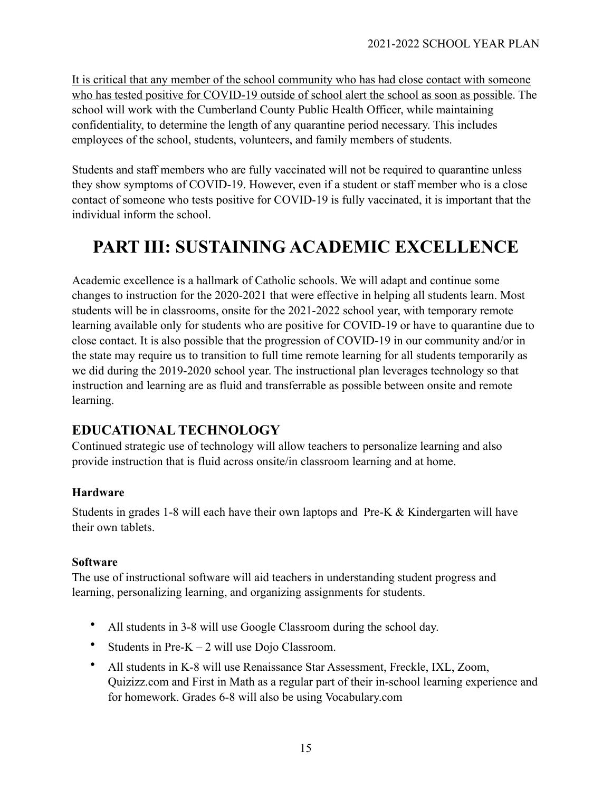It is critical that any member of the school community who has had close contact with someone who has tested positive for COVID-19 outside of school alert the school as soon as possible. The school will work with the Cumberland County Public Health Officer, while maintaining confidentiality, to determine the length of any quarantine period necessary. This includes employees of the school, students, volunteers, and family members of students.

Students and staff members who are fully vaccinated will not be required to quarantine unless they show symptoms of COVID-19. However, even if a student or staff member who is a close contact of someone who tests positive for COVID-19 is fully vaccinated, it is important that the individual inform the school.

# **PART III: SUSTAINING ACADEMIC EXCELLENCE**

Academic excellence is a hallmark of Catholic schools. We will adapt and continue some changes to instruction for the 2020-2021 that were effective in helping all students learn. Most students will be in classrooms, onsite for the 2021-2022 school year, with temporary remote learning available only for students who are positive for COVID-19 or have to quarantine due to close contact. It is also possible that the progression of COVID-19 in our community and/or in the state may require us to transition to full time remote learning for all students temporarily as we did during the 2019-2020 school year. The instructional plan leverages technology so that instruction and learning are as fluid and transferrable as possible between onsite and remote learning.

# **EDUCATIONAL TECHNOLOGY**

Continued strategic use of technology will allow teachers to personalize learning and also provide instruction that is fluid across onsite/in classroom learning and at home.

### **Hardware**

Students in grades 1-8 will each have their own laptops and Pre-K & Kindergarten will have their own tablets.

### **Software**

The use of instructional software will aid teachers in understanding student progress and learning, personalizing learning, and organizing assignments for students.

- All students in 3-8 will use Google Classroom during the school day.
- Students in Pre- $K 2$  will use Dojo Classroom.
- All students in K-8 will use Renaissance Star Assessment, Freckle, IXL, Zoom, Quizizz.com and First in Math as a regular part of their in-school learning experience and for homework. Grades 6-8 will also be using Vocabulary.com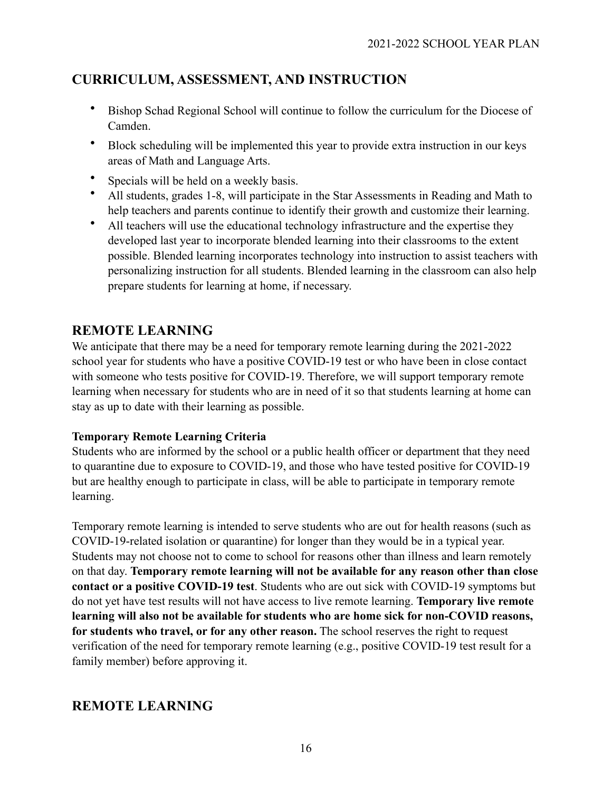# **CURRICULUM, ASSESSMENT, AND INSTRUCTION**

- Bishop Schad Regional School will continue to follow the curriculum for the Diocese of Camden.
- Block scheduling will be implemented this year to provide extra instruction in our keys areas of Math and Language Arts.
- Specials will be held on a weekly basis.
- All students, grades 1-8, will participate in the Star Assessments in Reading and Math to help teachers and parents continue to identify their growth and customize their learning.
- All teachers will use the educational technology infrastructure and the expertise they developed last year to incorporate blended learning into their classrooms to the extent possible. Blended learning incorporates technology into instruction to assist teachers with personalizing instruction for all students. Blended learning in the classroom can also help prepare students for learning at home, if necessary.

## **REMOTE LEARNING**

We anticipate that there may be a need for temporary remote learning during the 2021-2022 school year for students who have a positive COVID-19 test or who have been in close contact with someone who tests positive for COVID-19. Therefore, we will support temporary remote learning when necessary for students who are in need of it so that students learning at home can stay as up to date with their learning as possible.

### **Temporary Remote Learning Criteria**

Students who are informed by the school or a public health officer or department that they need to quarantine due to exposure to COVID-19, and those who have tested positive for COVID-19 but are healthy enough to participate in class, will be able to participate in temporary remote learning.

Temporary remote learning is intended to serve students who are out for health reasons (such as COVID-19-related isolation or quarantine) for longer than they would be in a typical year. Students may not choose not to come to school for reasons other than illness and learn remotely on that day. **Temporary remote learning will not be available for any reason other than close contact or a positive COVID-19 test**. Students who are out sick with COVID-19 symptoms but do not yet have test results will not have access to live remote learning. **Temporary live remote learning will also not be available for students who are home sick for non-COVID reasons, for students who travel, or for any other reason.** The school reserves the right to request verification of the need for temporary remote learning (e.g., positive COVID-19 test result for a family member) before approving it.

# **REMOTE LEARNING**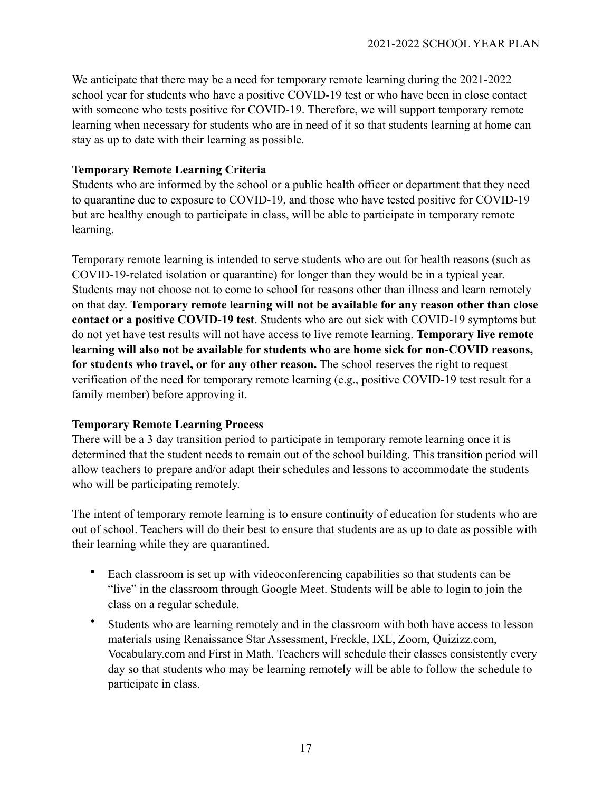We anticipate that there may be a need for temporary remote learning during the 2021-2022 school year for students who have a positive COVID-19 test or who have been in close contact with someone who tests positive for COVID-19. Therefore, we will support temporary remote learning when necessary for students who are in need of it so that students learning at home can stay as up to date with their learning as possible.

### **Temporary Remote Learning Criteria**

Students who are informed by the school or a public health officer or department that they need to quarantine due to exposure to COVID-19, and those who have tested positive for COVID-19 but are healthy enough to participate in class, will be able to participate in temporary remote learning.

Temporary remote learning is intended to serve students who are out for health reasons (such as COVID-19-related isolation or quarantine) for longer than they would be in a typical year. Students may not choose not to come to school for reasons other than illness and learn remotely on that day. **Temporary remote learning will not be available for any reason other than close contact or a positive COVID-19 test**. Students who are out sick with COVID-19 symptoms but do not yet have test results will not have access to live remote learning. **Temporary live remote learning will also not be available for students who are home sick for non-COVID reasons, for students who travel, or for any other reason.** The school reserves the right to request verification of the need for temporary remote learning (e.g., positive COVID-19 test result for a family member) before approving it.

#### **Temporary Remote Learning Process**

There will be a 3 day transition period to participate in temporary remote learning once it is determined that the student needs to remain out of the school building. This transition period will allow teachers to prepare and/or adapt their schedules and lessons to accommodate the students who will be participating remotely.

The intent of temporary remote learning is to ensure continuity of education for students who are out of school. Teachers will do their best to ensure that students are as up to date as possible with their learning while they are quarantined.

- Each classroom is set up with videoconferencing capabilities so that students can be "live" in the classroom through Google Meet. Students will be able to login to join the class on a regular schedule.
- Students who are learning remotely and in the classroom with both have access to lesson materials using Renaissance Star Assessment, Freckle, IXL, Zoom, Quizizz.com, Vocabulary.com and First in Math. Teachers will schedule their classes consistently every day so that students who may be learning remotely will be able to follow the schedule to participate in class.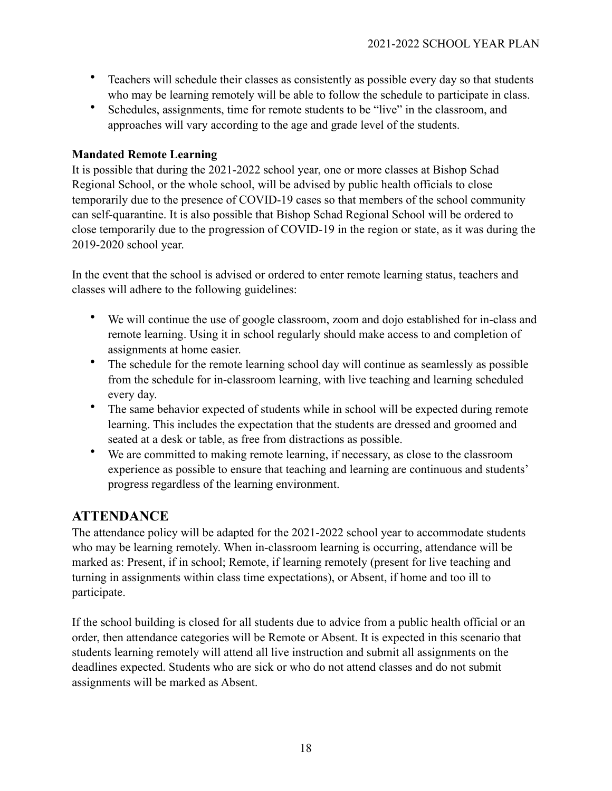- Teachers will schedule their classes as consistently as possible every day so that students who may be learning remotely will be able to follow the schedule to participate in class.
- Schedules, assignments, time for remote students to be "live" in the classroom, and approaches will vary according to the age and grade level of the students.

### **Mandated Remote Learning**

It is possible that during the 2021-2022 school year, one or more classes at Bishop Schad Regional School, or the whole school, will be advised by public health officials to close temporarily due to the presence of COVID-19 cases so that members of the school community can self-quarantine. It is also possible that Bishop Schad Regional School will be ordered to close temporarily due to the progression of COVID-19 in the region or state, as it was during the 2019-2020 school year.

In the event that the school is advised or ordered to enter remote learning status, teachers and classes will adhere to the following guidelines:

- We will continue the use of google classroom, zoom and dojo established for in-class and remote learning. Using it in school regularly should make access to and completion of assignments at home easier.
- The schedule for the remote learning school day will continue as seamlessly as possible from the schedule for in-classroom learning, with live teaching and learning scheduled every day.
- The same behavior expected of students while in school will be expected during remote learning. This includes the expectation that the students are dressed and groomed and seated at a desk or table, as free from distractions as possible.
- We are committed to making remote learning, if necessary, as close to the classroom experience as possible to ensure that teaching and learning are continuous and students' progress regardless of the learning environment.

# **ATTENDANCE**

The attendance policy will be adapted for the 2021-2022 school year to accommodate students who may be learning remotely. When in-classroom learning is occurring, attendance will be marked as: Present, if in school; Remote, if learning remotely (present for live teaching and turning in assignments within class time expectations), or Absent, if home and too ill to participate.

If the school building is closed for all students due to advice from a public health official or an order, then attendance categories will be Remote or Absent. It is expected in this scenario that students learning remotely will attend all live instruction and submit all assignments on the deadlines expected. Students who are sick or who do not attend classes and do not submit assignments will be marked as Absent.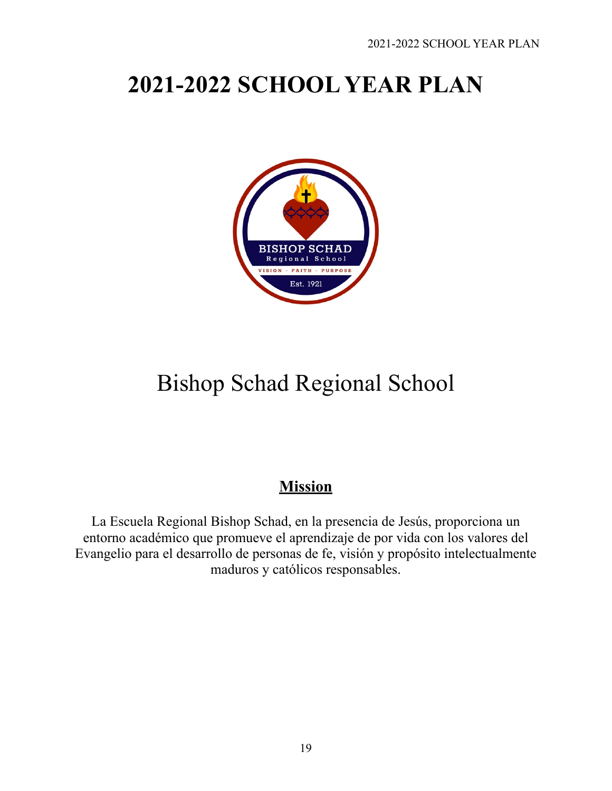# **2021-2022 SCHOOL YEAR PLAN**



# Bishop Schad Regional School

# **Mission**

La Escuela Regional Bishop Schad, en la presencia de Jesús, proporciona un entorno académico que promueve el aprendizaje de por vida con los valores del Evangelio para el desarrollo de personas de fe, visión y propósito intelectualmente maduros y católicos responsables.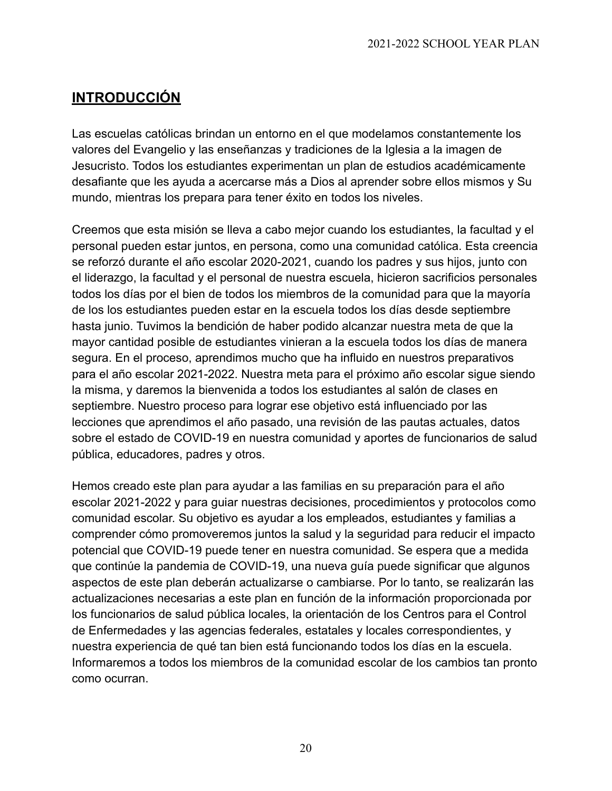# **INTRODUCCIÓN**

Las escuelas católicas brindan un entorno en el que modelamos constantemente los valores del Evangelio y las enseñanzas y tradiciones de la Iglesia a la imagen de Jesucristo. Todos los estudiantes experimentan un plan de estudios académicamente desafiante que les ayuda a acercarse más a Dios al aprender sobre ellos mismos y Su mundo, mientras los prepara para tener éxito en todos los niveles.

Creemos que esta misión se lleva a cabo mejor cuando los estudiantes, la facultad y el personal pueden estar juntos, en persona, como una comunidad católica. Esta creencia se reforzó durante el año escolar 2020-2021, cuando los padres y sus hijos, junto con el liderazgo, la facultad y el personal de nuestra escuela, hicieron sacrificios personales todos los días por el bien de todos los miembros de la comunidad para que la mayoría de los los estudiantes pueden estar en la escuela todos los días desde septiembre hasta junio. Tuvimos la bendición de haber podido alcanzar nuestra meta de que la mayor cantidad posible de estudiantes vinieran a la escuela todos los días de manera segura. En el proceso, aprendimos mucho que ha influido en nuestros preparativos para el año escolar 2021-2022. Nuestra meta para el próximo año escolar sigue siendo la misma, y daremos la bienvenida a todos los estudiantes al salón de clases en septiembre. Nuestro proceso para lograr ese objetivo está influenciado por las lecciones que aprendimos el año pasado, una revisión de las pautas actuales, datos sobre el estado de COVID-19 en nuestra comunidad y aportes de funcionarios de salud pública, educadores, padres y otros.

Hemos creado este plan para ayudar a las familias en su preparación para el año escolar 2021-2022 y para guiar nuestras decisiones, procedimientos y protocolos como comunidad escolar. Su objetivo es ayudar a los empleados, estudiantes y familias a comprender cómo promoveremos juntos la salud y la seguridad para reducir el impacto potencial que COVID-19 puede tener en nuestra comunidad. Se espera que a medida que continúe la pandemia de COVID-19, una nueva guía puede significar que algunos aspectos de este plan deberán actualizarse o cambiarse. Por lo tanto, se realizarán las actualizaciones necesarias a este plan en función de la información proporcionada por los funcionarios de salud pública locales, la orientación de los Centros para el Control de Enfermedades y las agencias federales, estatales y locales correspondientes, y nuestra experiencia de qué tan bien está funcionando todos los días en la escuela. Informaremos a todos los miembros de la comunidad escolar de los cambios tan pronto como ocurran.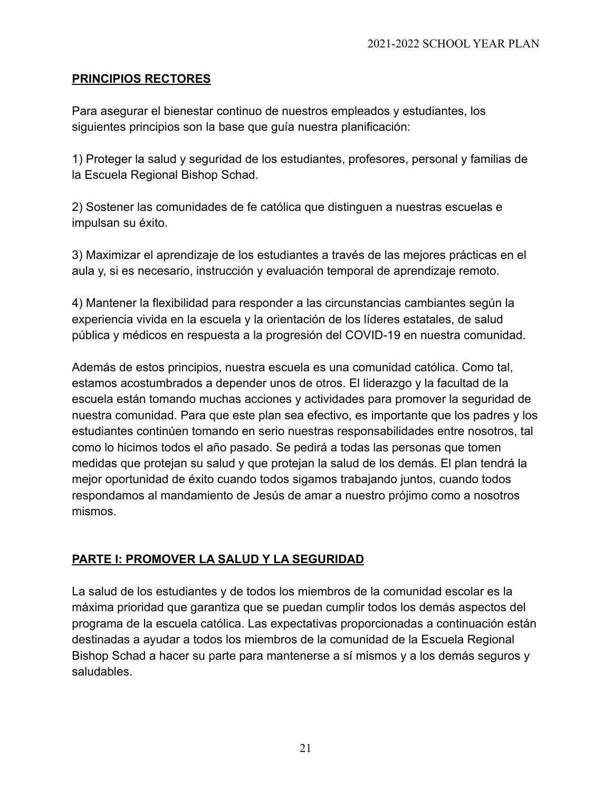### **PRINCIPIOS RECTORES**

Para asegurar el bienestar continuo de nuestros empleados y estudiantes, los siguientes principios son la base que guía nuestra planificación:

1) Proteger la salud y seguridad de los estudiantes, profesores, personal y familias de la Escuela Regional Bishop Schad.

2) Sostener las comunidades de fe católica que distinguen a nuestras escuelas e impulsan su éxito.

3) Maximizar el aprendizaje de los estudiantes a través de las mejores prácticas en el aula y, si es necesario, instrucción y evaluación temporal de aprendizaje remoto.

4) Mantener la flexibilidad para responder a las circunstancias cambiantes según la experiencia vivida en la escuela y la orientación de los líderes estatales, de salud pública y médicos en respuesta a la progresión del COVID-19 en nuestra comunidad.

Además de estos principios, nuestra escuela es una comunidad católica. Como tal, estamos acostumbrados a depender unos de otros. El liderazgo y la facultad de la escuela están tomando muchas acciones y actividades para promover la seguridad de nuestra comunidad. Para que este plan sea efectivo, es importante que los padres y los estudiantes continúen tomando en serio nuestras responsabilidades entre nosotros, tal como lo hicimos todos el año pasado. Se pedirá a todas las personas que tomen medidas que protejan su salud y que protejan la salud de los demás. El plan tendrá la mejor oportunidad de éxito cuando todos sigamos trabajando juntos, cuando todos respondamos al mandamiento de Jesús de amar a nuestro prójimo como a nosotros mismos.

### **PARTE I: PROMOVER LA SALUD Y LA SEGURIDAD**

La salud de los estudiantes y de todos los miembros de la comunidad escolar es la máxima prioridad que garantiza que se puedan cumplir todos los demás aspectos del programa de la escuela católica. Las expectativas proporcionadas a continuación están destinadas a ayudar a todos los miembros de la comunidad de la Escuela Regional Bishop Schad a hacer su parte para mantenerse a sí mismos y a los demás seguros y saludables.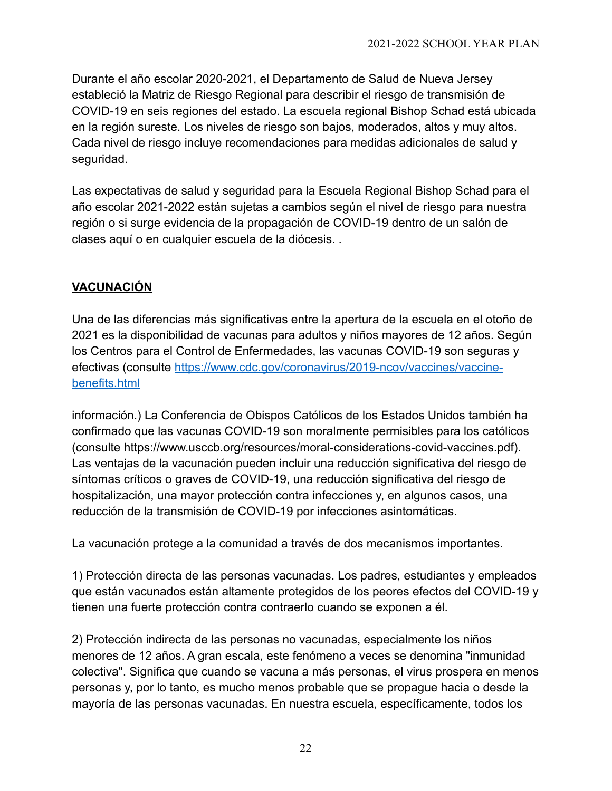Durante el año escolar 2020-2021, el Departamento de Salud de Nueva Jersey estableció la Matriz de Riesgo Regional para describir el riesgo de transmisión de COVID-19 en seis regiones del estado. La escuela regional Bishop Schad está ubicada en la región sureste. Los niveles de riesgo son bajos, moderados, altos y muy altos. Cada nivel de riesgo incluye recomendaciones para medidas adicionales de salud y seguridad.

Las expectativas de salud y seguridad para la Escuela Regional Bishop Schad para el año escolar 2021-2022 están sujetas a cambios según el nivel de riesgo para nuestra región o si surge evidencia de la propagación de COVID-19 dentro de un salón de clases aquí o en cualquier escuela de la diócesis. .

# **VACUNACIÓN**

Una de las diferencias más significativas entre la apertura de la escuela en el otoño de 2021 es la disponibilidad de vacunas para adultos y niños mayores de 12 años. Según los Centros para el Control de Enfermedades, las vacunas COVID-19 son seguras y efectivas (consulte [https://www.cdc.gov/coronavirus/2019-ncov/vaccines/vaccine](https://www.cdc.gov/coronavirus/2019-ncov/vaccines/vaccine-benefits.html)[benefits.html](https://www.cdc.gov/coronavirus/2019-ncov/vaccines/vaccine-benefits.html)

información.) La Conferencia de Obispos Católicos de los Estados Unidos también ha confirmado que las vacunas COVID-19 son moralmente permisibles para los católicos (consulte https://www.usccb.org/resources/moral-considerations-covid-vaccines.pdf). Las ventajas de la vacunación pueden incluir una reducción significativa del riesgo de síntomas críticos o graves de COVID-19, una reducción significativa del riesgo de hospitalización, una mayor protección contra infecciones y, en algunos casos, una reducción de la transmisión de COVID-19 por infecciones asintomáticas.

La vacunación protege a la comunidad a través de dos mecanismos importantes.

1) Protección directa de las personas vacunadas. Los padres, estudiantes y empleados que están vacunados están altamente protegidos de los peores efectos del COVID-19 y tienen una fuerte protección contra contraerlo cuando se exponen a él.

2) Protección indirecta de las personas no vacunadas, especialmente los niños menores de 12 años. A gran escala, este fenómeno a veces se denomina "inmunidad colectiva". Significa que cuando se vacuna a más personas, el virus prospera en menos personas y, por lo tanto, es mucho menos probable que se propague hacia o desde la mayoría de las personas vacunadas. En nuestra escuela, específicamente, todos los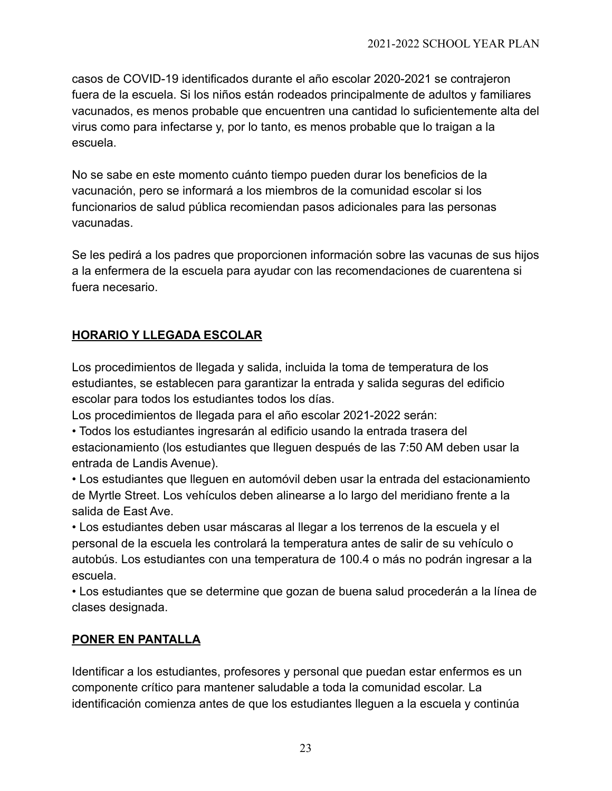casos de COVID-19 identificados durante el año escolar 2020-2021 se contrajeron fuera de la escuela. Si los niños están rodeados principalmente de adultos y familiares vacunados, es menos probable que encuentren una cantidad lo suficientemente alta del virus como para infectarse y, por lo tanto, es menos probable que lo traigan a la escuela.

No se sabe en este momento cuánto tiempo pueden durar los beneficios de la vacunación, pero se informará a los miembros de la comunidad escolar si los funcionarios de salud pública recomiendan pasos adicionales para las personas vacunadas.

Se les pedirá a los padres que proporcionen información sobre las vacunas de sus hijos a la enfermera de la escuela para ayudar con las recomendaciones de cuarentena si fuera necesario.

## **HORARIO Y LLEGADA ESCOLAR**

Los procedimientos de llegada y salida, incluida la toma de temperatura de los estudiantes, se establecen para garantizar la entrada y salida seguras del edificio escolar para todos los estudiantes todos los días.

Los procedimientos de llegada para el año escolar 2021-2022 serán:

• Todos los estudiantes ingresarán al edificio usando la entrada trasera del estacionamiento (los estudiantes que lleguen después de las 7:50 AM deben usar la entrada de Landis Avenue).

• Los estudiantes que lleguen en automóvil deben usar la entrada del estacionamiento de Myrtle Street. Los vehículos deben alinearse a lo largo del meridiano frente a la salida de East Ave.

• Los estudiantes deben usar máscaras al llegar a los terrenos de la escuela y el personal de la escuela les controlará la temperatura antes de salir de su vehículo o autobús. Los estudiantes con una temperatura de 100.4 o más no podrán ingresar a la escuela.

• Los estudiantes que se determine que gozan de buena salud procederán a la línea de clases designada.

### **PONER EN PANTALLA**

Identificar a los estudiantes, profesores y personal que puedan estar enfermos es un componente crítico para mantener saludable a toda la comunidad escolar. La identificación comienza antes de que los estudiantes lleguen a la escuela y continúa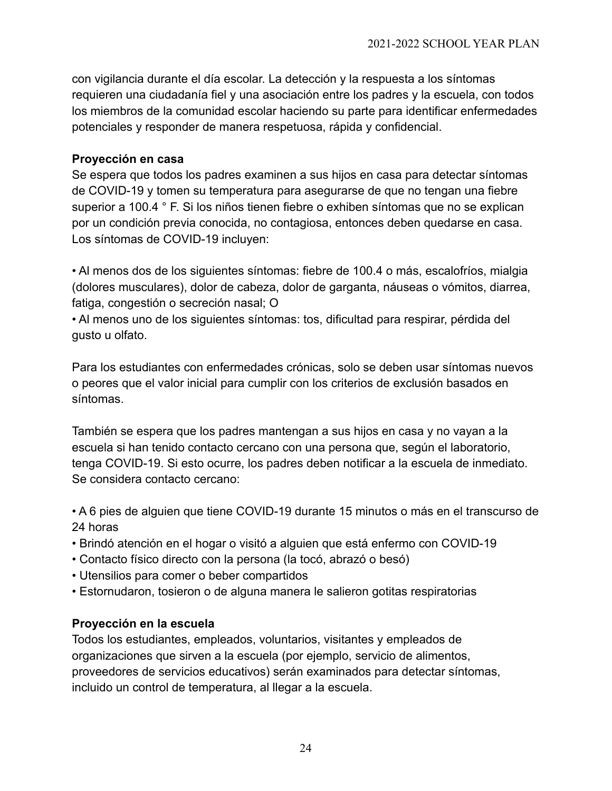con vigilancia durante el día escolar. La detección y la respuesta a los síntomas requieren una ciudadanía fiel y una asociación entre los padres y la escuela, con todos los miembros de la comunidad escolar haciendo su parte para identificar enfermedades potenciales y responder de manera respetuosa, rápida y confidencial.

### **Proyección en casa**

Se espera que todos los padres examinen a sus hijos en casa para detectar síntomas de COVID-19 y tomen su temperatura para asegurarse de que no tengan una fiebre superior a 100.4 ° F. Si los niños tienen fiebre o exhiben síntomas que no se explican por un condición previa conocida, no contagiosa, entonces deben quedarse en casa. Los síntomas de COVID-19 incluyen:

• Al menos dos de los siguientes síntomas: fiebre de 100.4 o más, escalofríos, mialgia (dolores musculares), dolor de cabeza, dolor de garganta, náuseas o vómitos, diarrea, fatiga, congestión o secreción nasal; O

• Al menos uno de los siguientes síntomas: tos, dificultad para respirar, pérdida del gusto u olfato.

Para los estudiantes con enfermedades crónicas, solo se deben usar síntomas nuevos o peores que el valor inicial para cumplir con los criterios de exclusión basados en síntomas.

También se espera que los padres mantengan a sus hijos en casa y no vayan a la escuela si han tenido contacto cercano con una persona que, según el laboratorio, tenga COVID-19. Si esto ocurre, los padres deben notificar a la escuela de inmediato. Se considera contacto cercano:

• A 6 pies de alguien que tiene COVID-19 durante 15 minutos o más en el transcurso de 24 horas

- Brindó atención en el hogar o visitó a alguien que está enfermo con COVID-19
- Contacto físico directo con la persona (la tocó, abrazó o besó)
- Utensilios para comer o beber compartidos
- Estornudaron, tosieron o de alguna manera le salieron gotitas respiratorias

### **Proyección en la escuela**

Todos los estudiantes, empleados, voluntarios, visitantes y empleados de organizaciones que sirven a la escuela (por ejemplo, servicio de alimentos, proveedores de servicios educativos) serán examinados para detectar síntomas, incluido un control de temperatura, al llegar a la escuela.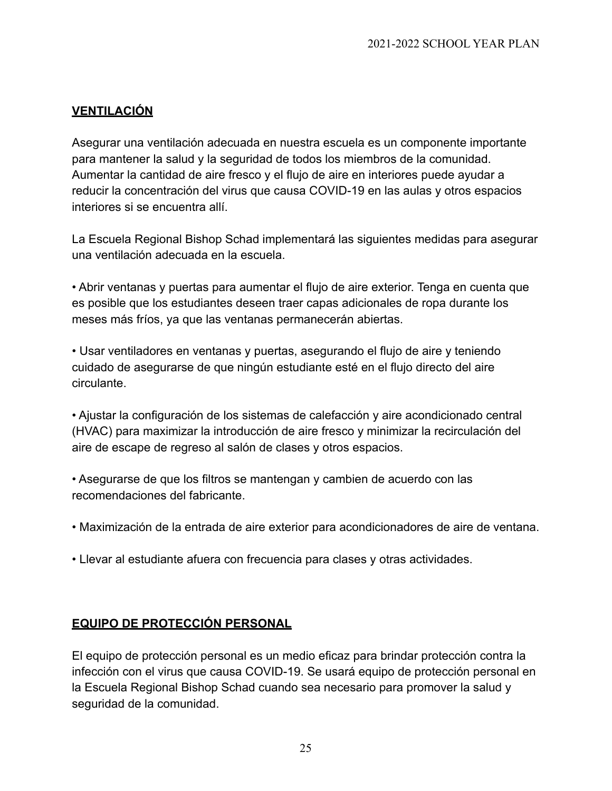### **VENTILACIÓN**

Asegurar una ventilación adecuada en nuestra escuela es un componente importante para mantener la salud y la seguridad de todos los miembros de la comunidad. Aumentar la cantidad de aire fresco y el flujo de aire en interiores puede ayudar a reducir la concentración del virus que causa COVID-19 en las aulas y otros espacios interiores si se encuentra allí.

La Escuela Regional Bishop Schad implementará las siguientes medidas para asegurar una ventilación adecuada en la escuela.

• Abrir ventanas y puertas para aumentar el flujo de aire exterior. Tenga en cuenta que es posible que los estudiantes deseen traer capas adicionales de ropa durante los meses más fríos, ya que las ventanas permanecerán abiertas.

• Usar ventiladores en ventanas y puertas, asegurando el flujo de aire y teniendo cuidado de asegurarse de que ningún estudiante esté en el flujo directo del aire circulante.

• Ajustar la configuración de los sistemas de calefacción y aire acondicionado central (HVAC) para maximizar la introducción de aire fresco y minimizar la recirculación del aire de escape de regreso al salón de clases y otros espacios.

• Asegurarse de que los filtros se mantengan y cambien de acuerdo con las recomendaciones del fabricante.

- Maximización de la entrada de aire exterior para acondicionadores de aire de ventana.
- Llevar al estudiante afuera con frecuencia para clases y otras actividades.

### **EQUIPO DE PROTECCIÓN PERSONAL**

El equipo de protección personal es un medio eficaz para brindar protección contra la infección con el virus que causa COVID-19. Se usará equipo de protección personal en la Escuela Regional Bishop Schad cuando sea necesario para promover la salud y seguridad de la comunidad.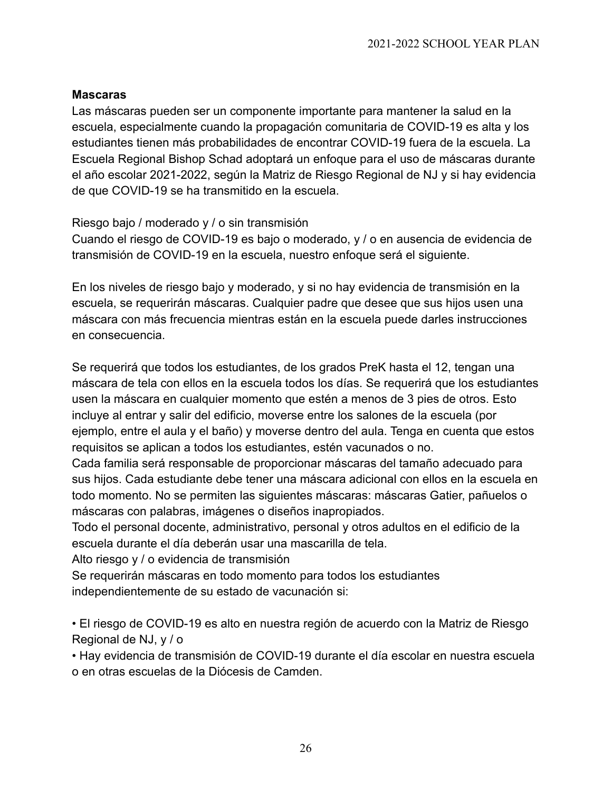### **Mascaras**

Las máscaras pueden ser un componente importante para mantener la salud en la escuela, especialmente cuando la propagación comunitaria de COVID-19 es alta y los estudiantes tienen más probabilidades de encontrar COVID-19 fuera de la escuela. La Escuela Regional Bishop Schad adoptará un enfoque para el uso de máscaras durante el año escolar 2021-2022, según la Matriz de Riesgo Regional de NJ y si hay evidencia de que COVID-19 se ha transmitido en la escuela.

### Riesgo bajo / moderado y / o sin transmisión

Cuando el riesgo de COVID-19 es bajo o moderado, y / o en ausencia de evidencia de transmisión de COVID-19 en la escuela, nuestro enfoque será el siguiente.

En los niveles de riesgo bajo y moderado, y si no hay evidencia de transmisión en la escuela, se requerirán máscaras. Cualquier padre que desee que sus hijos usen una máscara con más frecuencia mientras están en la escuela puede darles instrucciones en consecuencia.

Se requerirá que todos los estudiantes, de los grados PreK hasta el 12, tengan una máscara de tela con ellos en la escuela todos los días. Se requerirá que los estudiantes usen la máscara en cualquier momento que estén a menos de 3 pies de otros. Esto incluye al entrar y salir del edificio, moverse entre los salones de la escuela (por ejemplo, entre el aula y el baño) y moverse dentro del aula. Tenga en cuenta que estos requisitos se aplican a todos los estudiantes, estén vacunados o no.

Cada familia será responsable de proporcionar máscaras del tamaño adecuado para sus hijos. Cada estudiante debe tener una máscara adicional con ellos en la escuela en todo momento. No se permiten las siguientes máscaras: máscaras Gatier, pañuelos o máscaras con palabras, imágenes o diseños inapropiados.

Todo el personal docente, administrativo, personal y otros adultos en el edificio de la escuela durante el día deberán usar una mascarilla de tela.

Alto riesgo y / o evidencia de transmisión

Se requerirán máscaras en todo momento para todos los estudiantes independientemente de su estado de vacunación si:

• El riesgo de COVID-19 es alto en nuestra región de acuerdo con la Matriz de Riesgo Regional de NJ, y / o

• Hay evidencia de transmisión de COVID-19 durante el día escolar en nuestra escuela o en otras escuelas de la Diócesis de Camden.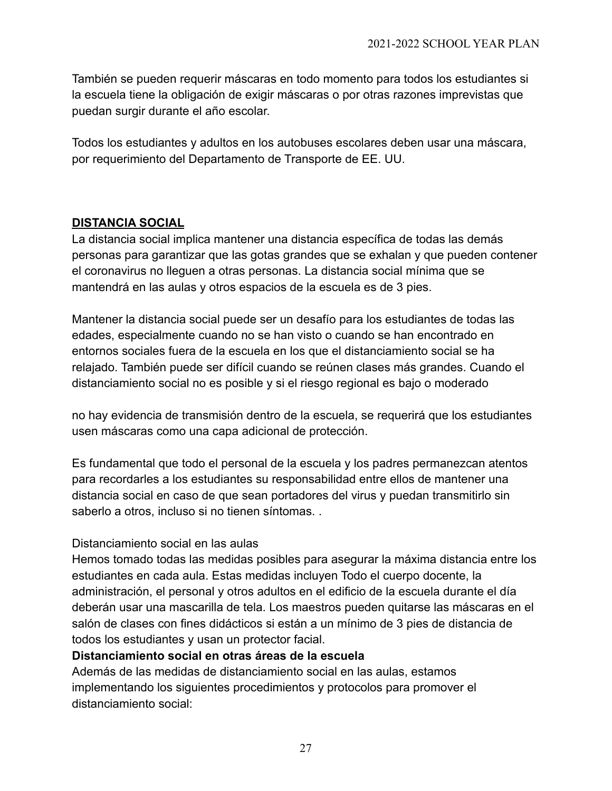También se pueden requerir máscaras en todo momento para todos los estudiantes si la escuela tiene la obligación de exigir máscaras o por otras razones imprevistas que puedan surgir durante el año escolar.

Todos los estudiantes y adultos en los autobuses escolares deben usar una máscara, por requerimiento del Departamento de Transporte de EE. UU.

### **DISTANCIA SOCIAL**

La distancia social implica mantener una distancia específica de todas las demás personas para garantizar que las gotas grandes que se exhalan y que pueden contener el coronavirus no lleguen a otras personas. La distancia social mínima que se mantendrá en las aulas y otros espacios de la escuela es de 3 pies.

Mantener la distancia social puede ser un desafío para los estudiantes de todas las edades, especialmente cuando no se han visto o cuando se han encontrado en entornos sociales fuera de la escuela en los que el distanciamiento social se ha relajado. También puede ser difícil cuando se reúnen clases más grandes. Cuando el distanciamiento social no es posible y si el riesgo regional es bajo o moderado

no hay evidencia de transmisión dentro de la escuela, se requerirá que los estudiantes usen máscaras como una capa adicional de protección.

Es fundamental que todo el personal de la escuela y los padres permanezcan atentos para recordarles a los estudiantes su responsabilidad entre ellos de mantener una distancia social en caso de que sean portadores del virus y puedan transmitirlo sin saberlo a otros, incluso si no tienen síntomas. .

### Distanciamiento social en las aulas

Hemos tomado todas las medidas posibles para asegurar la máxima distancia entre los estudiantes en cada aula. Estas medidas incluyen Todo el cuerpo docente, la administración, el personal y otros adultos en el edificio de la escuela durante el día deberán usar una mascarilla de tela. Los maestros pueden quitarse las máscaras en el salón de clases con fines didácticos si están a un mínimo de 3 pies de distancia de todos los estudiantes y usan un protector facial.

### **Distanciamiento social en otras áreas de la escuela**

Además de las medidas de distanciamiento social en las aulas, estamos implementando los siguientes procedimientos y protocolos para promover el distanciamiento social: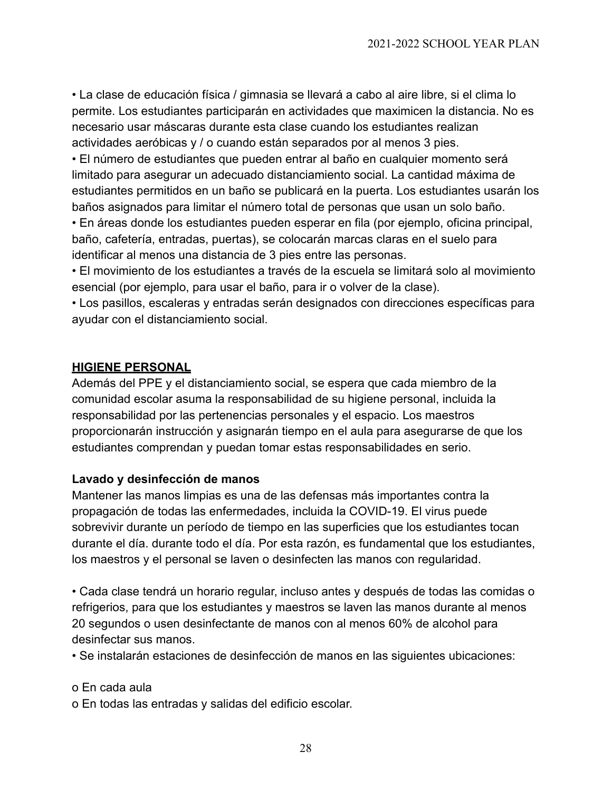• La clase de educación física / gimnasia se llevará a cabo al aire libre, si el clima lo permite. Los estudiantes participarán en actividades que maximicen la distancia. No es necesario usar máscaras durante esta clase cuando los estudiantes realizan actividades aeróbicas y / o cuando están separados por al menos 3 pies.

• El número de estudiantes que pueden entrar al baño en cualquier momento será limitado para asegurar un adecuado distanciamiento social. La cantidad máxima de estudiantes permitidos en un baño se publicará en la puerta. Los estudiantes usarán los baños asignados para limitar el número total de personas que usan un solo baño.

• En áreas donde los estudiantes pueden esperar en fila (por ejemplo, oficina principal, baño, cafetería, entradas, puertas), se colocarán marcas claras en el suelo para identificar al menos una distancia de 3 pies entre las personas.

• El movimiento de los estudiantes a través de la escuela se limitará solo al movimiento esencial (por ejemplo, para usar el baño, para ir o volver de la clase).

• Los pasillos, escaleras y entradas serán designados con direcciones específicas para ayudar con el distanciamiento social.

### **HIGIENE PERSONAL**

Además del PPE y el distanciamiento social, se espera que cada miembro de la comunidad escolar asuma la responsabilidad de su higiene personal, incluida la responsabilidad por las pertenencias personales y el espacio. Los maestros proporcionarán instrucción y asignarán tiempo en el aula para asegurarse de que los estudiantes comprendan y puedan tomar estas responsabilidades en serio.

### **Lavado y desinfección de manos**

Mantener las manos limpias es una de las defensas más importantes contra la propagación de todas las enfermedades, incluida la COVID-19. El virus puede sobrevivir durante un período de tiempo en las superficies que los estudiantes tocan durante el día. durante todo el día. Por esta razón, es fundamental que los estudiantes, los maestros y el personal se laven o desinfecten las manos con regularidad.

• Cada clase tendrá un horario regular, incluso antes y después de todas las comidas o refrigerios, para que los estudiantes y maestros se laven las manos durante al menos 20 segundos o usen desinfectante de manos con al menos 60% de alcohol para desinfectar sus manos.

• Se instalarán estaciones de desinfección de manos en las siguientes ubicaciones:

o En cada aula

o En todas las entradas y salidas del edificio escolar.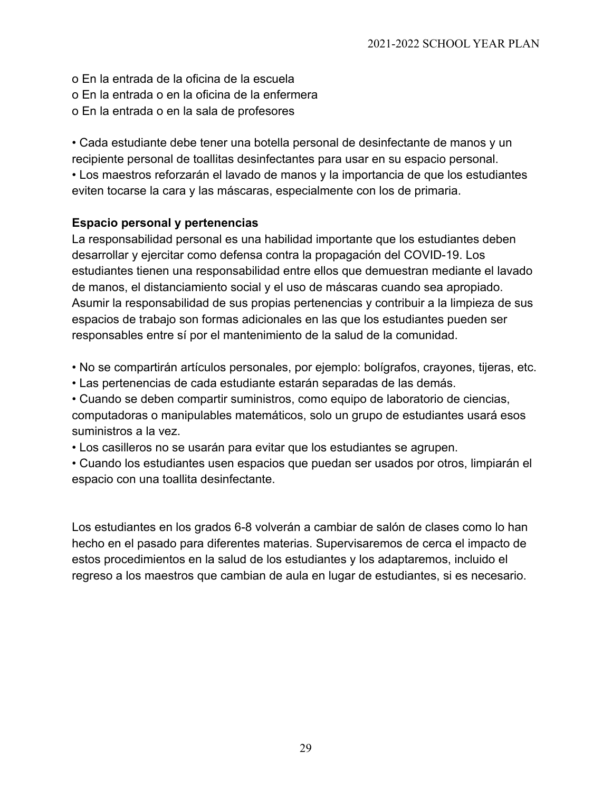- o En la entrada de la oficina de la escuela
- o En la entrada o en la oficina de la enfermera
- o En la entrada o en la sala de profesores

• Cada estudiante debe tener una botella personal de desinfectante de manos y un recipiente personal de toallitas desinfectantes para usar en su espacio personal. • Los maestros reforzarán el lavado de manos y la importancia de que los estudiantes eviten tocarse la cara y las máscaras, especialmente con los de primaria.

### **Espacio personal y pertenencias**

La responsabilidad personal es una habilidad importante que los estudiantes deben desarrollar y ejercitar como defensa contra la propagación del COVID-19. Los estudiantes tienen una responsabilidad entre ellos que demuestran mediante el lavado de manos, el distanciamiento social y el uso de máscaras cuando sea apropiado. Asumir la responsabilidad de sus propias pertenencias y contribuir a la limpieza de sus espacios de trabajo son formas adicionales en las que los estudiantes pueden ser responsables entre sí por el mantenimiento de la salud de la comunidad.

- No se compartirán artículos personales, por ejemplo: bolígrafos, crayones, tijeras, etc.
- Las pertenencias de cada estudiante estarán separadas de las demás.

• Cuando se deben compartir suministros, como equipo de laboratorio de ciencias, computadoras o manipulables matemáticos, solo un grupo de estudiantes usará esos suministros a la vez.

• Los casilleros no se usarán para evitar que los estudiantes se agrupen.

• Cuando los estudiantes usen espacios que puedan ser usados por otros, limpiarán el espacio con una toallita desinfectante.

Los estudiantes en los grados 6-8 volverán a cambiar de salón de clases como lo han hecho en el pasado para diferentes materias. Supervisaremos de cerca el impacto de estos procedimientos en la salud de los estudiantes y los adaptaremos, incluido el regreso a los maestros que cambian de aula en lugar de estudiantes, si es necesario.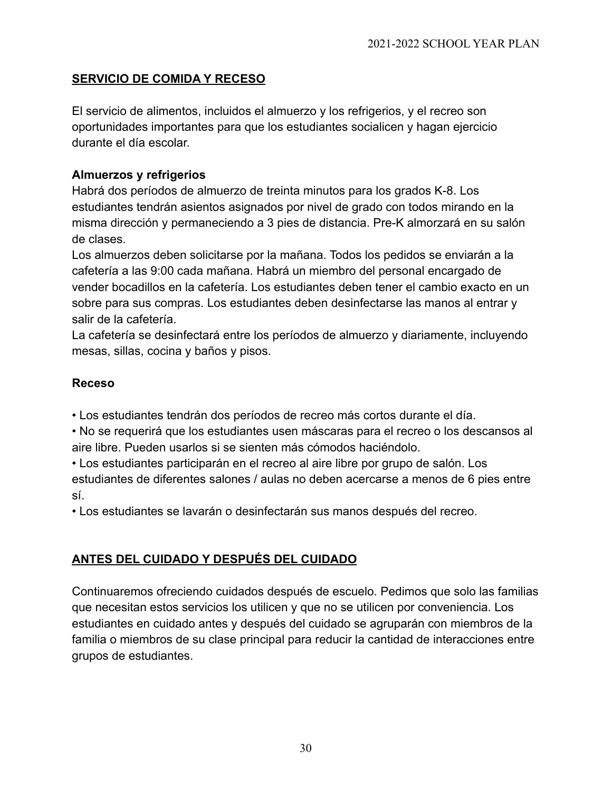### **SERVICIO DE COMIDA Y RECESO**

El servicio de alimentos, incluidos el almuerzo y los refrigerios, y el recreo son oportunidades importantes para que los estudiantes socialicen y hagan ejercicio durante el día escolar.

### **Almuerzos y refrigerios**

Habrá dos períodos de almuerzo de treinta minutos para los grados K-8. Los estudiantes tendrán asientos asignados por nivel de grado con todos mirando en la misma dirección y permaneciendo a 3 pies de distancia. Pre-K almorzará en su salón de clases.

Los almuerzos deben solicitarse por la mañana. Todos los pedidos se enviarán a la cafetería a las 9:00 cada mañana. Habrá un miembro del personal encargado de vender bocadillos en la cafetería. Los estudiantes deben tener el cambio exacto en un sobre para sus compras. Los estudiantes deben desinfectarse las manos al entrar y salir de la cafetería.

La cafetería se desinfectará entre los períodos de almuerzo y diariamente, incluyendo mesas, sillas, cocina y baños y pisos.

### **Receso**

• Los estudiantes tendrán dos períodos de recreo más cortos durante el día.

• No se requerirá que los estudiantes usen máscaras para el recreo o los descansos al aire libre. Pueden usarlos si se sienten más cómodos haciéndolo.

• Los estudiantes participarán en el recreo al aire libre por grupo de salón. Los estudiantes de diferentes salones / aulas no deben acercarse a menos de 6 pies entre sí.

• Los estudiantes se lavarán o desinfectarán sus manos después del recreo.

### **ANTES DEL CUIDADO Y DESPUÉS DEL CUIDADO**

Continuaremos ofreciendo cuidados después de escuelo. Pedimos que solo las familias que necesitan estos servicios los utilicen y que no se utilicen por conveniencia. Los estudiantes en cuidado antes y después del cuidado se agruparán con miembros de la familia o miembros de su clase principal para reducir la cantidad de interacciones entre grupos de estudiantes.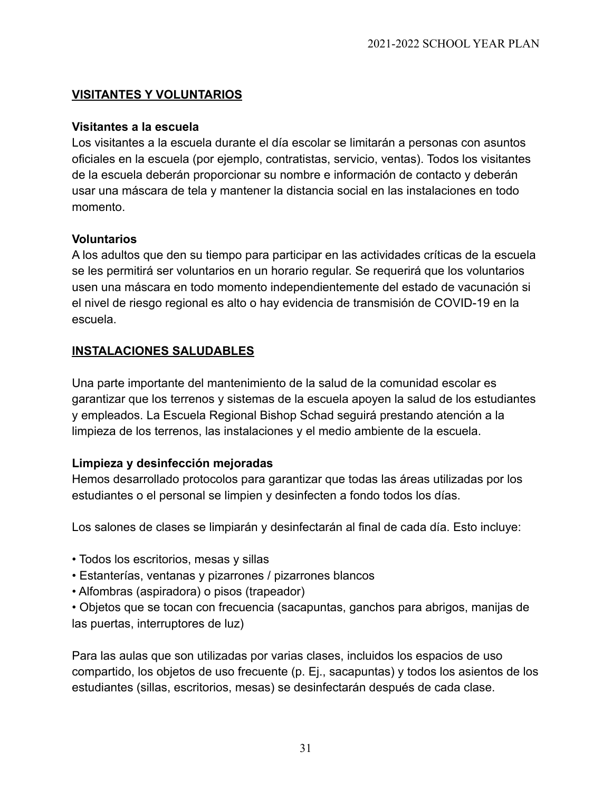### **VISITANTES Y VOLUNTARIOS**

### **Visitantes a la escuela**

Los visitantes a la escuela durante el día escolar se limitarán a personas con asuntos oficiales en la escuela (por ejemplo, contratistas, servicio, ventas). Todos los visitantes de la escuela deberán proporcionar su nombre e información de contacto y deberán usar una máscara de tela y mantener la distancia social en las instalaciones en todo momento.

### **Voluntarios**

A los adultos que den su tiempo para participar en las actividades críticas de la escuela se les permitirá ser voluntarios en un horario regular. Se requerirá que los voluntarios usen una máscara en todo momento independientemente del estado de vacunación si el nivel de riesgo regional es alto o hay evidencia de transmisión de COVID-19 en la escuela.

### **INSTALACIONES SALUDABLES**

Una parte importante del mantenimiento de la salud de la comunidad escolar es garantizar que los terrenos y sistemas de la escuela apoyen la salud de los estudiantes y empleados. La Escuela Regional Bishop Schad seguirá prestando atención a la limpieza de los terrenos, las instalaciones y el medio ambiente de la escuela.

### **Limpieza y desinfección mejoradas**

Hemos desarrollado protocolos para garantizar que todas las áreas utilizadas por los estudiantes o el personal se limpien y desinfecten a fondo todos los días.

Los salones de clases se limpiarán y desinfectarán al final de cada día. Esto incluye:

- Todos los escritorios, mesas y sillas
- Estanterías, ventanas y pizarrones / pizarrones blancos
- Alfombras (aspiradora) o pisos (trapeador)

• Objetos que se tocan con frecuencia (sacapuntas, ganchos para abrigos, manijas de las puertas, interruptores de luz)

Para las aulas que son utilizadas por varias clases, incluidos los espacios de uso compartido, los objetos de uso frecuente (p. Ej., sacapuntas) y todos los asientos de los estudiantes (sillas, escritorios, mesas) se desinfectarán después de cada clase.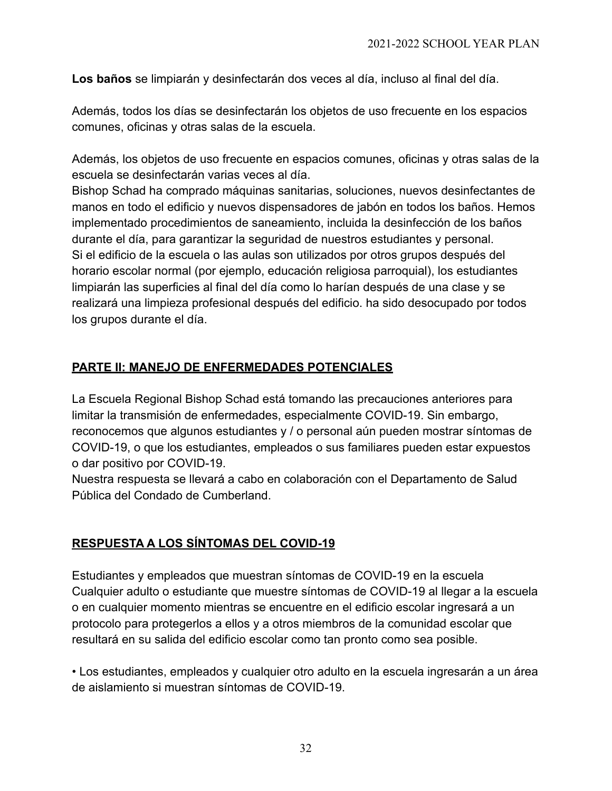**Los baños** se limpiarán y desinfectarán dos veces al día, incluso al final del día.

Además, todos los días se desinfectarán los objetos de uso frecuente en los espacios comunes, oficinas y otras salas de la escuela.

Además, los objetos de uso frecuente en espacios comunes, oficinas y otras salas de la escuela se desinfectarán varias veces al día.

Bishop Schad ha comprado máquinas sanitarias, soluciones, nuevos desinfectantes de manos en todo el edificio y nuevos dispensadores de jabón en todos los baños. Hemos implementado procedimientos de saneamiento, incluida la desinfección de los baños durante el día, para garantizar la seguridad de nuestros estudiantes y personal. Si el edificio de la escuela o las aulas son utilizados por otros grupos después del horario escolar normal (por ejemplo, educación religiosa parroquial), los estudiantes limpiarán las superficies al final del día como lo harían después de una clase y se realizará una limpieza profesional después del edificio. ha sido desocupado por todos los grupos durante el día.

## **PARTE II: MANEJO DE ENFERMEDADES POTENCIALES**

La Escuela Regional Bishop Schad está tomando las precauciones anteriores para limitar la transmisión de enfermedades, especialmente COVID-19. Sin embargo, reconocemos que algunos estudiantes y / o personal aún pueden mostrar síntomas de COVID-19, o que los estudiantes, empleados o sus familiares pueden estar expuestos o dar positivo por COVID-19.

Nuestra respuesta se llevará a cabo en colaboración con el Departamento de Salud Pública del Condado de Cumberland.

# **RESPUESTA A LOS SÍNTOMAS DEL COVID-19**

Estudiantes y empleados que muestran síntomas de COVID-19 en la escuela Cualquier adulto o estudiante que muestre síntomas de COVID-19 al llegar a la escuela o en cualquier momento mientras se encuentre en el edificio escolar ingresará a un protocolo para protegerlos a ellos y a otros miembros de la comunidad escolar que resultará en su salida del edificio escolar como tan pronto como sea posible.

• Los estudiantes, empleados y cualquier otro adulto en la escuela ingresarán a un área de aislamiento si muestran síntomas de COVID-19.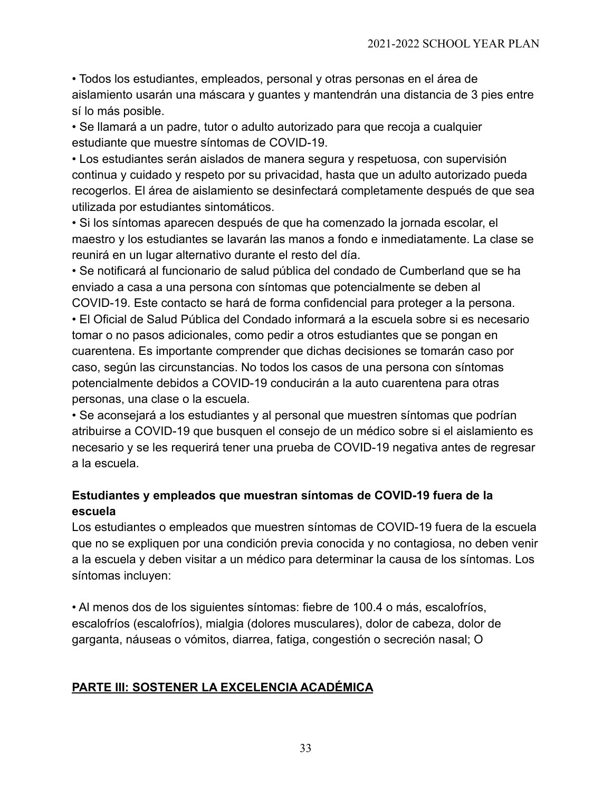• Todos los estudiantes, empleados, personal y otras personas en el área de aislamiento usarán una máscara y guantes y mantendrán una distancia de 3 pies entre sí lo más posible.

• Se llamará a un padre, tutor o adulto autorizado para que recoja a cualquier estudiante que muestre síntomas de COVID-19.

• Los estudiantes serán aislados de manera segura y respetuosa, con supervisión continua y cuidado y respeto por su privacidad, hasta que un adulto autorizado pueda recogerlos. El área de aislamiento se desinfectará completamente después de que sea utilizada por estudiantes sintomáticos.

• Si los síntomas aparecen después de que ha comenzado la jornada escolar, el maestro y los estudiantes se lavarán las manos a fondo e inmediatamente. La clase se reunirá en un lugar alternativo durante el resto del día.

• Se notificará al funcionario de salud pública del condado de Cumberland que se ha enviado a casa a una persona con síntomas que potencialmente se deben al COVID-19. Este contacto se hará de forma confidencial para proteger a la persona.

• El Oficial de Salud Pública del Condado informará a la escuela sobre si es necesario tomar o no pasos adicionales, como pedir a otros estudiantes que se pongan en cuarentena. Es importante comprender que dichas decisiones se tomarán caso por caso, según las circunstancias. No todos los casos de una persona con síntomas potencialmente debidos a COVID-19 conducirán a la auto cuarentena para otras personas, una clase o la escuela.

• Se aconsejará a los estudiantes y al personal que muestren síntomas que podrían atribuirse a COVID-19 que busquen el consejo de un médico sobre si el aislamiento es necesario y se les requerirá tener una prueba de COVID-19 negativa antes de regresar a la escuela.

### **Estudiantes y empleados que muestran síntomas de COVID-19 fuera de la escuela**

Los estudiantes o empleados que muestren síntomas de COVID-19 fuera de la escuela que no se expliquen por una condición previa conocida y no contagiosa, no deben venir a la escuela y deben visitar a un médico para determinar la causa de los síntomas. Los síntomas incluyen:

• Al menos dos de los siguientes síntomas: fiebre de 100.4 o más, escalofríos, escalofríos (escalofríos), mialgia (dolores musculares), dolor de cabeza, dolor de garganta, náuseas o vómitos, diarrea, fatiga, congestión o secreción nasal; O

### **PARTE III: SOSTENER LA EXCELENCIA ACADÉMICA**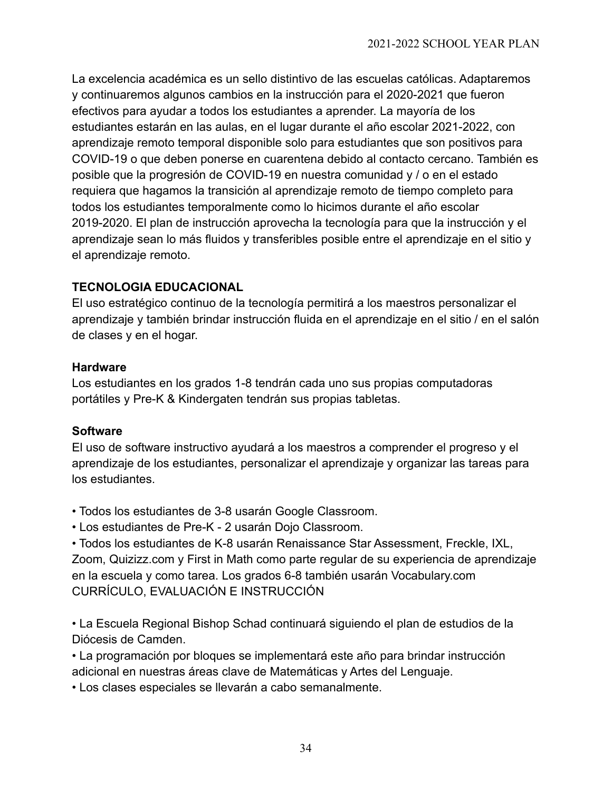La excelencia académica es un sello distintivo de las escuelas católicas. Adaptaremos y continuaremos algunos cambios en la instrucción para el 2020-2021 que fueron efectivos para ayudar a todos los estudiantes a aprender. La mayoría de los estudiantes estarán en las aulas, en el lugar durante el año escolar 2021-2022, con aprendizaje remoto temporal disponible solo para estudiantes que son positivos para COVID-19 o que deben ponerse en cuarentena debido al contacto cercano. También es posible que la progresión de COVID-19 en nuestra comunidad y / o en el estado requiera que hagamos la transición al aprendizaje remoto de tiempo completo para todos los estudiantes temporalmente como lo hicimos durante el año escolar 2019-2020. El plan de instrucción aprovecha la tecnología para que la instrucción y el aprendizaje sean lo más fluidos y transferibles posible entre el aprendizaje en el sitio y el aprendizaje remoto.

### **TECNOLOGIA EDUCACIONAL**

El uso estratégico continuo de la tecnología permitirá a los maestros personalizar el aprendizaje y también brindar instrucción fluida en el aprendizaje en el sitio / en el salón de clases y en el hogar.

### **Hardware**

Los estudiantes en los grados 1-8 tendrán cada uno sus propias computadoras portátiles y Pre-K & Kindergaten tendrán sus propias tabletas.

### **Software**

El uso de software instructivo ayudará a los maestros a comprender el progreso y el aprendizaje de los estudiantes, personalizar el aprendizaje y organizar las tareas para los estudiantes.

- Todos los estudiantes de 3-8 usarán Google Classroom.
- Los estudiantes de Pre-K 2 usarán Dojo Classroom.

• Todos los estudiantes de K-8 usarán Renaissance Star Assessment, Freckle, IXL, Zoom, Quizizz.com y First in Math como parte regular de su experiencia de aprendizaje en la escuela y como tarea. Los grados 6-8 también usarán Vocabulary.com CURRÍCULO, EVALUACIÓN E INSTRUCCIÓN

• La Escuela Regional Bishop Schad continuará siguiendo el plan de estudios de la Diócesis de Camden.

- La programación por bloques se implementará este año para brindar instrucción adicional en nuestras áreas clave de Matemáticas y Artes del Lenguaje.
- Los clases especiales se llevarán a cabo semanalmente.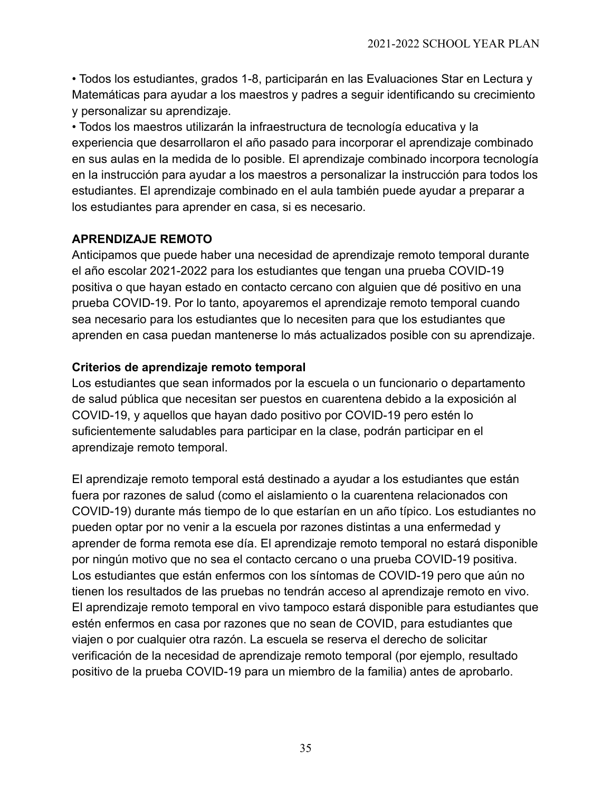• Todos los estudiantes, grados 1-8, participarán en las Evaluaciones Star en Lectura y Matemáticas para ayudar a los maestros y padres a seguir identificando su crecimiento y personalizar su aprendizaje.

• Todos los maestros utilizarán la infraestructura de tecnología educativa y la experiencia que desarrollaron el año pasado para incorporar el aprendizaje combinado en sus aulas en la medida de lo posible. El aprendizaje combinado incorpora tecnología en la instrucción para ayudar a los maestros a personalizar la instrucción para todos los estudiantes. El aprendizaje combinado en el aula también puede ayudar a preparar a los estudiantes para aprender en casa, si es necesario.

### **APRENDIZAJE REMOTO**

Anticipamos que puede haber una necesidad de aprendizaje remoto temporal durante el año escolar 2021-2022 para los estudiantes que tengan una prueba COVID-19 positiva o que hayan estado en contacto cercano con alguien que dé positivo en una prueba COVID-19. Por lo tanto, apoyaremos el aprendizaje remoto temporal cuando sea necesario para los estudiantes que lo necesiten para que los estudiantes que aprenden en casa puedan mantenerse lo más actualizados posible con su aprendizaje.

### **Criterios de aprendizaje remoto temporal**

Los estudiantes que sean informados por la escuela o un funcionario o departamento de salud pública que necesitan ser puestos en cuarentena debido a la exposición al COVID-19, y aquellos que hayan dado positivo por COVID-19 pero estén lo suficientemente saludables para participar en la clase, podrán participar en el aprendizaje remoto temporal.

El aprendizaje remoto temporal está destinado a ayudar a los estudiantes que están fuera por razones de salud (como el aislamiento o la cuarentena relacionados con COVID-19) durante más tiempo de lo que estarían en un año típico. Los estudiantes no pueden optar por no venir a la escuela por razones distintas a una enfermedad y aprender de forma remota ese día. El aprendizaje remoto temporal no estará disponible por ningún motivo que no sea el contacto cercano o una prueba COVID-19 positiva. Los estudiantes que están enfermos con los síntomas de COVID-19 pero que aún no tienen los resultados de las pruebas no tendrán acceso al aprendizaje remoto en vivo. El aprendizaje remoto temporal en vivo tampoco estará disponible para estudiantes que estén enfermos en casa por razones que no sean de COVID, para estudiantes que viajen o por cualquier otra razón. La escuela se reserva el derecho de solicitar verificación de la necesidad de aprendizaje remoto temporal (por ejemplo, resultado positivo de la prueba COVID-19 para un miembro de la familia) antes de aprobarlo.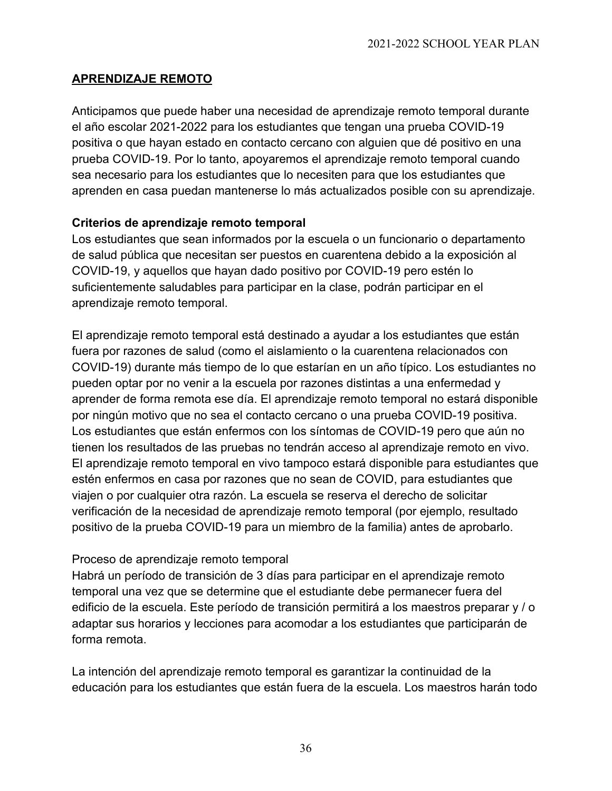### **APRENDIZAJE REMOTO**

Anticipamos que puede haber una necesidad de aprendizaje remoto temporal durante el año escolar 2021-2022 para los estudiantes que tengan una prueba COVID-19 positiva o que hayan estado en contacto cercano con alguien que dé positivo en una prueba COVID-19. Por lo tanto, apoyaremos el aprendizaje remoto temporal cuando sea necesario para los estudiantes que lo necesiten para que los estudiantes que aprenden en casa puedan mantenerse lo más actualizados posible con su aprendizaje.

### **Criterios de aprendizaje remoto temporal**

Los estudiantes que sean informados por la escuela o un funcionario o departamento de salud pública que necesitan ser puestos en cuarentena debido a la exposición al COVID-19, y aquellos que hayan dado positivo por COVID-19 pero estén lo suficientemente saludables para participar en la clase, podrán participar en el aprendizaje remoto temporal.

El aprendizaje remoto temporal está destinado a ayudar a los estudiantes que están fuera por razones de salud (como el aislamiento o la cuarentena relacionados con COVID-19) durante más tiempo de lo que estarían en un año típico. Los estudiantes no pueden optar por no venir a la escuela por razones distintas a una enfermedad y aprender de forma remota ese día. El aprendizaje remoto temporal no estará disponible por ningún motivo que no sea el contacto cercano o una prueba COVID-19 positiva. Los estudiantes que están enfermos con los síntomas de COVID-19 pero que aún no tienen los resultados de las pruebas no tendrán acceso al aprendizaje remoto en vivo. El aprendizaje remoto temporal en vivo tampoco estará disponible para estudiantes que estén enfermos en casa por razones que no sean de COVID, para estudiantes que viajen o por cualquier otra razón. La escuela se reserva el derecho de solicitar verificación de la necesidad de aprendizaje remoto temporal (por ejemplo, resultado positivo de la prueba COVID-19 para un miembro de la familia) antes de aprobarlo.

### Proceso de aprendizaje remoto temporal

Habrá un período de transición de 3 días para participar en el aprendizaje remoto temporal una vez que se determine que el estudiante debe permanecer fuera del edificio de la escuela. Este período de transición permitirá a los maestros preparar y / o adaptar sus horarios y lecciones para acomodar a los estudiantes que participarán de forma remota.

La intención del aprendizaje remoto temporal es garantizar la continuidad de la educación para los estudiantes que están fuera de la escuela. Los maestros harán todo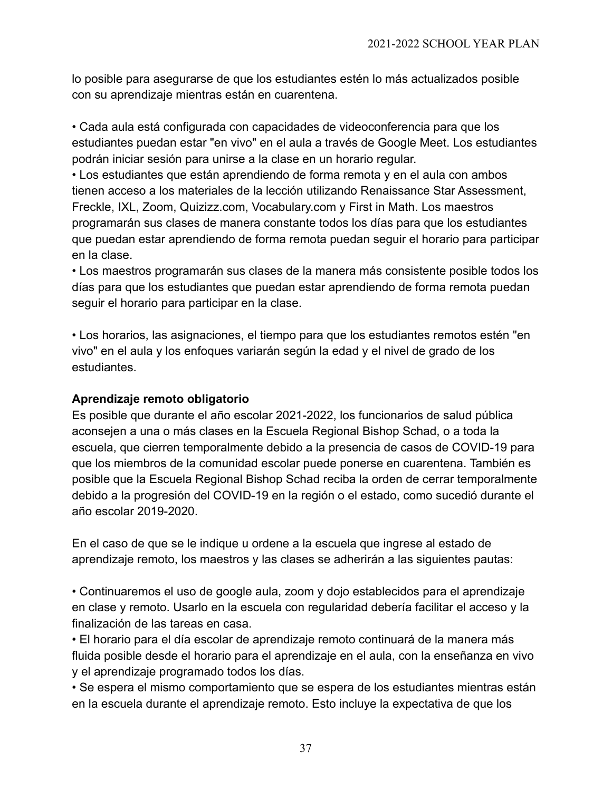lo posible para asegurarse de que los estudiantes estén lo más actualizados posible con su aprendizaje mientras están en cuarentena.

• Cada aula está configurada con capacidades de videoconferencia para que los estudiantes puedan estar "en vivo" en el aula a través de Google Meet. Los estudiantes podrán iniciar sesión para unirse a la clase en un horario regular.

• Los estudiantes que están aprendiendo de forma remota y en el aula con ambos tienen acceso a los materiales de la lección utilizando Renaissance Star Assessment, Freckle, IXL, Zoom, Quizizz.com, Vocabulary.com y First in Math. Los maestros programarán sus clases de manera constante todos los días para que los estudiantes que puedan estar aprendiendo de forma remota puedan seguir el horario para participar en la clase.

• Los maestros programarán sus clases de la manera más consistente posible todos los días para que los estudiantes que puedan estar aprendiendo de forma remota puedan seguir el horario para participar en la clase.

• Los horarios, las asignaciones, el tiempo para que los estudiantes remotos estén "en vivo" en el aula y los enfoques variarán según la edad y el nivel de grado de los estudiantes.

### **Aprendizaje remoto obligatorio**

Es posible que durante el año escolar 2021-2022, los funcionarios de salud pública aconsejen a una o más clases en la Escuela Regional Bishop Schad, o a toda la escuela, que cierren temporalmente debido a la presencia de casos de COVID-19 para que los miembros de la comunidad escolar puede ponerse en cuarentena. También es posible que la Escuela Regional Bishop Schad reciba la orden de cerrar temporalmente debido a la progresión del COVID-19 en la región o el estado, como sucedió durante el año escolar 2019-2020.

En el caso de que se le indique u ordene a la escuela que ingrese al estado de aprendizaje remoto, los maestros y las clases se adherirán a las siguientes pautas:

• Continuaremos el uso de google aula, zoom y dojo establecidos para el aprendizaje en clase y remoto. Usarlo en la escuela con regularidad debería facilitar el acceso y la finalización de las tareas en casa.

• El horario para el día escolar de aprendizaje remoto continuará de la manera más fluida posible desde el horario para el aprendizaje en el aula, con la enseñanza en vivo y el aprendizaje programado todos los días.

• Se espera el mismo comportamiento que se espera de los estudiantes mientras están en la escuela durante el aprendizaje remoto. Esto incluye la expectativa de que los